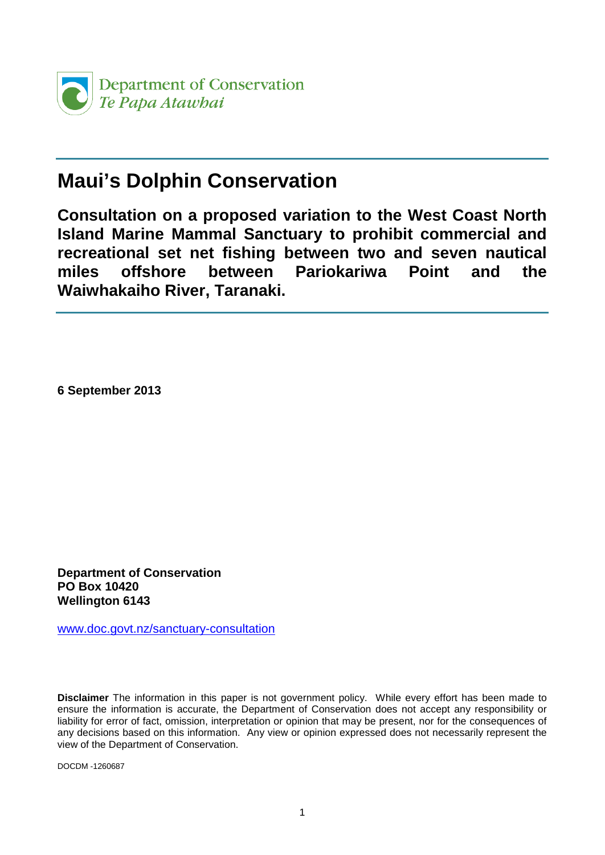

## **Maui's Dolphin Conservation**

**Consultation on a proposed variation to the West Coast North Island Marine Mammal Sanctuary to prohibit commercial and recreational set net fishing between two and seven nautical miles offshore between Pariokariwa Point and the Waiwhakaiho River, Taranaki.**

**6 September 2013**

**Department of Conservation PO Box 10420 Wellington 6143**

[www.doc.govt.nz/sanctuary-consultation](http://www.doc.govt.nz/sanctuary-consultation)

**Disclaimer** The information in this paper is not government policy. While every effort has been made to ensure the information is accurate, the Department of Conservation does not accept any responsibility or liability for error of fact, omission, interpretation or opinion that may be present, nor for the consequences of any decisions based on this information. Any view or opinion expressed does not necessarily represent the view of the Department of Conservation.

DOCDM -1260687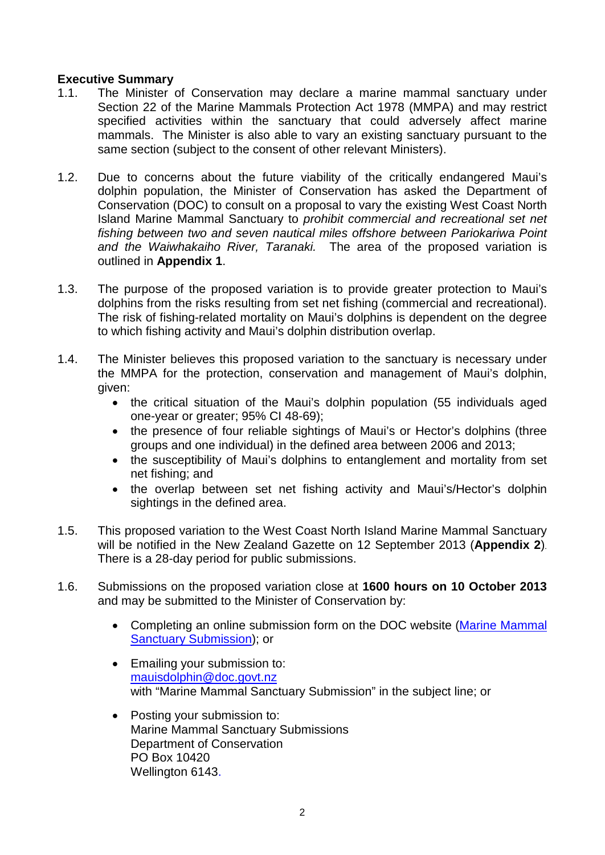### **Executive Summary**

- 1.1. The Minister of Conservation may declare a marine mammal sanctuary under Section 22 of the Marine Mammals Protection Act 1978 (MMPA) and may restrict specified activities within the sanctuary that could adversely affect marine mammals. The Minister is also able to vary an existing sanctuary pursuant to the same section (subject to the consent of other relevant Ministers).
- 1.2. Due to concerns about the future viability of the critically endangered Maui's dolphin population, the Minister of Conservation has asked the Department of Conservation (DOC) to consult on a proposal to vary the existing West Coast North Island Marine Mammal Sanctuary to *prohibit commercial and recreational set net fishing between two and seven nautical miles offshore between Pariokariwa Point and the Waiwhakaiho River, Taranaki.* The area of the proposed variation is outlined in **Appendix 1**.
- 1.3. The purpose of the proposed variation is to provide greater protection to Maui's dolphins from the risks resulting from set net fishing (commercial and recreational). The risk of fishing-related mortality on Maui's dolphins is dependent on the degree to which fishing activity and Maui's dolphin distribution overlap.
- 1.4. The Minister believes this proposed variation to the sanctuary is necessary under the MMPA for the protection, conservation and management of Maui's dolphin, given:
	- the critical situation of the Maui's dolphin population (55 individuals aged one-year or greater; 95% CI 48-69);
	- the presence of four reliable sightings of Maui's or Hector's dolphins (three groups and one individual) in the defined area between 2006 and 2013;
	- the susceptibility of Maui's dolphins to entanglement and mortality from set net fishing; and
	- the overlap between set net fishing activity and Maui's/Hector's dolphin sightings in the defined area.
- 1.5. This proposed variation to the West Coast North Island Marine Mammal Sanctuary will be notified in the New Zealand Gazette on 12 September 2013 (**Appendix 2**). There is a 28-day period for public submissions.
- 1.6. Submissions on the proposed variation close at **1600 hours on 10 October 2013** and may be submitted to the Minister of Conservation by:
	- Completing an online submission form on the DOC website (Marine Mammal [Sanctuary Submission\)](http://www.doc.govt.nz/sanctuary-consultation-submission-form); or
	- Emailing your submission to: [mauisdolphin@doc.govt.nz](mailto:mauisdolphin@doc.govt.nz) with "Marine Mammal Sanctuary Submission" in the subject line; or
	- Posting your submission to: Marine Mammal Sanctuary Submissions Department of Conservation PO Box 10420 Wellington 6143.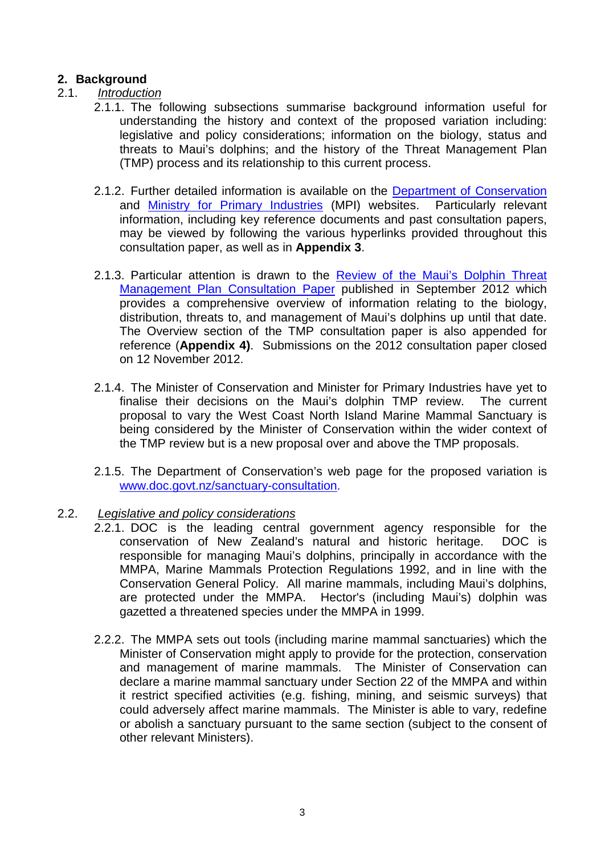## **2. Background**

## 2.1. *Introduction*

- 2.1.1. The following subsections summarise background information useful for understanding the history and context of the proposed variation including: legislative and policy considerations; information on the biology, status and threats to Maui's dolphins; and the history of the Threat Management Plan (TMP) process and its relationship to this current process.
- 2.1.2. Further detailed information is available on the [Department of Conservation](http://www.doc.govt.nz/) and [Ministry for Primary Industries](http://www.fish.govt.nz/en-nz/default.htm) (MPI) websites. Particularly relevant information, including key reference documents and past consultation papers, may be viewed by following the various hyperlinks provided throughout this consultation paper, as well as in **Appendix 3**.
- 2.1.3. Particular attention is drawn to the [Review of the Maui's Dolphin Threat](http://www.fish.govt.nz/NR/rdonlyres/2ED73A95-5FCD-4A22-AC3D-97A65E0A7557/0/mauisdolphinthreatmanagementplandiscussiondocument201218.pdf)  [Management Plan Consultation Paper](http://www.fish.govt.nz/NR/rdonlyres/2ED73A95-5FCD-4A22-AC3D-97A65E0A7557/0/mauisdolphinthreatmanagementplandiscussiondocument201218.pdf) published in September 2012 which provides a comprehensive overview of information relating to the biology, distribution, threats to, and management of Maui's dolphins up until that date. The Overview section of the TMP consultation paper is also appended for reference (**Appendix 4)**. Submissions on the 2012 consultation paper closed on 12 November 2012.
- 2.1.4. The Minister of Conservation and Minister for Primary Industries have yet to finalise their decisions on the Maui's dolphin TMP review. The current proposal to vary the West Coast North Island Marine Mammal Sanctuary is being considered by the Minister of Conservation within the wider context of the TMP review but is a new proposal over and above the TMP proposals.
- 2.1.5. The Department of Conservation's web page for the proposed variation is [www.doc.govt.nz/sanctuary-consultation.](http://www.doc.govt.nz/sanctuary-consultation)

#### 2.2. *Legislative and policy considerations*

- 2.2.1. DOC is the leading central government agency responsible for the conservation of New Zealand's natural and historic heritage. DOC is responsible for managing Maui's dolphins, principally in accordance with the MMPA, Marine Mammals Protection Regulations 1992, and in line with the Conservation General Policy. All marine mammals, including Maui's dolphins, are protected under the MMPA. Hector's (including Maui's) dolphin was gazetted a threatened species under the MMPA in 1999.
- 2.2.2. The MMPA sets out tools (including marine mammal sanctuaries) which the Minister of Conservation might apply to provide for the protection, conservation and management of marine mammals. The Minister of Conservation can declare a marine mammal sanctuary under Section 22 of the MMPA and within it restrict specified activities (e.g. fishing, mining, and seismic surveys) that could adversely affect marine mammals. The Minister is able to vary, redefine or abolish a sanctuary pursuant to the same section (subject to the consent of other relevant Ministers).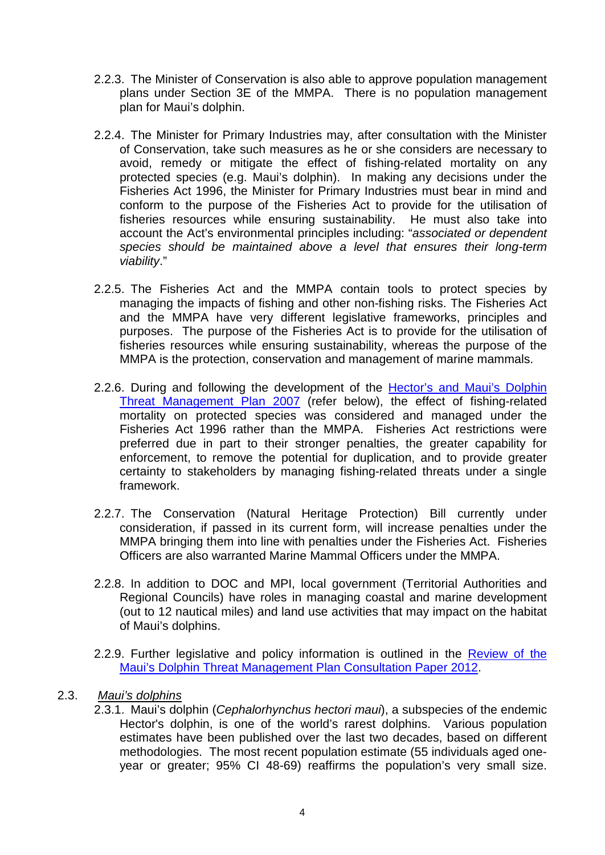- 2.2.3. The Minister of Conservation is also able to approve population management plans under Section 3E of the MMPA. There is no population management plan for Maui's dolphin.
- 2.2.4. The Minister for Primary Industries may, after consultation with the Minister of Conservation, take such measures as he or she considers are necessary to avoid, remedy or mitigate the effect of fishing-related mortality on any protected species (e.g. Maui's dolphin). In making any decisions under the Fisheries Act 1996, the Minister for Primary Industries must bear in mind and conform to the purpose of the Fisheries Act to provide for the utilisation of fisheries resources while ensuring sustainability. He must also take into account the Act's environmental principles including: "*associated or dependent species should be maintained above a level that ensures their long-term viability*."
- 2.2.5. The Fisheries Act and the MMPA contain tools to protect species by managing the impacts of fishing and other non-fishing risks. The Fisheries Act and the MMPA have very different legislative frameworks, principles and purposes. The purpose of the Fisheries Act is to provide for the utilisation of fisheries resources while ensuring sustainability, whereas the purpose of the MMPA is the protection, conservation and management of marine mammals.
- 2.2.6. During and following the development of the [Hector's and Maui's Dolphin](http://www.fish.govt.nz/en-nz/Consultations/Under+Review/hector/default.htm)  [Threat Management Plan 2007](http://www.fish.govt.nz/en-nz/Consultations/Under+Review/hector/default.htm) (refer below), the effect of fishing-related mortality on protected species was considered and managed under the Fisheries Act 1996 rather than the MMPA. Fisheries Act restrictions were preferred due in part to their stronger penalties, the greater capability for enforcement, to remove the potential for duplication, and to provide greater certainty to stakeholders by managing fishing-related threats under a single framework.
- 2.2.7. The Conservation (Natural Heritage Protection) Bill currently under consideration, if passed in its current form, will increase penalties under the MMPA bringing them into line with penalties under the Fisheries Act. Fisheries Officers are also warranted Marine Mammal Officers under the MMPA.
- 2.2.8. In addition to DOC and MPI, local government (Territorial Authorities and Regional Councils) have roles in managing coastal and marine development (out to 12 nautical miles) and land use activities that may impact on the habitat of Maui's dolphins.
- 2.2.9. Further legislative and policy information is outlined in the Review of the [Maui's Dolphin Threat Management Plan Consultation Paper 2012.](http://www.fish.govt.nz/NR/rdonlyres/2ED73A95-5FCD-4A22-AC3D-97A65E0A7557/0/mauisdolphinthreatmanagementplandiscussiondocument201218.pdf)

#### 2.3. *Maui's dolphins*

2.3.1. Maui's dolphin (*Cephalorhynchus hectori maui*), a subspecies of the endemic Hector's dolphin, is one of the world's rarest dolphins. Various population estimates have been published over the last two decades, based on different methodologies. The most recent population estimate (55 individuals aged oneyear or greater; 95% CI 48-69) reaffirms the population's very small size.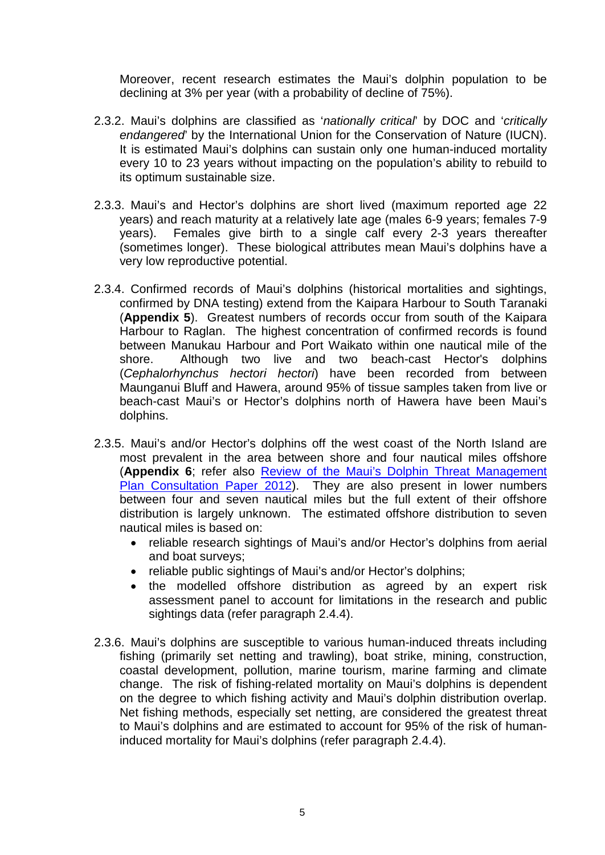Moreover, recent research estimates the Maui's dolphin population to be declining at 3% per year (with a probability of decline of 75%).

- 2.3.2. Maui's dolphins are classified as '*nationally critical*' by DOC and '*critically endangered*' by the International Union for the Conservation of Nature (IUCN). It is estimated Maui's dolphins can sustain only one human-induced mortality every 10 to 23 years without impacting on the population's ability to rebuild to its optimum sustainable size.
- 2.3.3. Maui's and Hector's dolphins are short lived (maximum reported age 22 years) and reach maturity at a relatively late age (males 6-9 years; females 7-9 years). Females give birth to a single calf every 2-3 years thereafter (sometimes longer). These biological attributes mean Maui's dolphins have a very low reproductive potential.
- 2.3.4. Confirmed records of Maui's dolphins (historical mortalities and sightings, confirmed by DNA testing) extend from the Kaipara Harbour to South Taranaki (**Appendix 5**). Greatest numbers of records occur from south of the Kaipara Harbour to Raglan. The highest concentration of confirmed records is found between Manukau Harbour and Port Waikato within one nautical mile of the shore. Although two live and two beach-cast Hector's dolphins (*Cephalorhynchus hectori hectori*) have been recorded from between Maunganui Bluff and Hawera, around 95% of tissue samples taken from live or beach-cast Maui's or Hector's dolphins north of Hawera have been Maui's dolphins.
- 2.3.5. Maui's and/or Hector's dolphins off the west coast of the North Island are most prevalent in the area between shore and four nautical miles offshore (**Appendix 6**; refer also Review of the Maui's Dolphin Threat Management [Plan Consultation Paper 2012\)](http://www.fish.govt.nz/NR/rdonlyres/2ED73A95-5FCD-4A22-AC3D-97A65E0A7557/0/mauisdolphinthreatmanagementplandiscussiondocument201218.pdf). They are also present in lower numbers between four and seven nautical miles but the full extent of their offshore distribution is largely unknown. The estimated offshore distribution to seven nautical miles is based on:
	- reliable research sightings of Maui's and/or Hector's dolphins from aerial and boat surveys;
	- reliable public sightings of Maui's and/or Hector's dolphins;
	- the modelled offshore distribution as agreed by an expert risk assessment panel to account for limitations in the research and public sightings data (refer paragraph 2.4.4).
- 2.3.6. Maui's dolphins are susceptible to various human-induced threats including fishing (primarily set netting and trawling), boat strike, mining, construction, coastal development, pollution, marine tourism, marine farming and climate change. The risk of fishing-related mortality on Maui's dolphins is dependent on the degree to which fishing activity and Maui's dolphin distribution overlap. Net fishing methods, especially set netting, are considered the greatest threat to Maui's dolphins and are estimated to account for 95% of the risk of humaninduced mortality for Maui's dolphins (refer paragraph 2.4.4).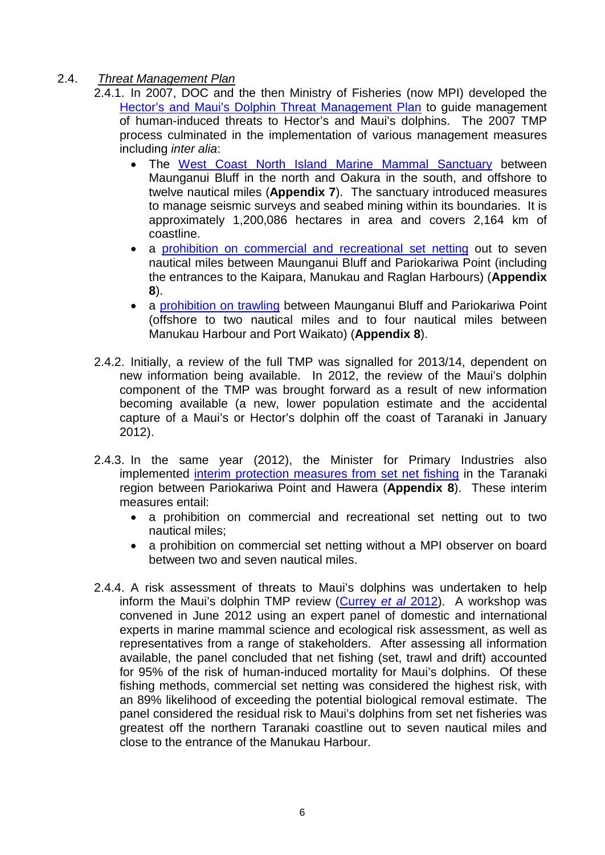- 2.4. *Threat Management Plan*
	- 2.4.1. In 2007, DOC and the then Ministry of Fisheries (now MPI) developed the [Hector's and Maui's Dolphin Threat Management Plan](http://www.fish.govt.nz/en-nz/Consultations/Under+Review/hector/default.htm) to guide management of human-induced threats to Hector's and Maui's dolphins. The 2007 TMP process culminated in the implementation of various management measures including *inter alia*:
		- The [West Coast North Island Marine Mammal Sanctuary](http://www.doc.govt.nz/conservation/marine-and-coastal/marine-protected-areas/marine-mammal-sanctuaries/west-coast-north-island/) between Maunganui Bluff in the north and Oakura in the south, and offshore to twelve nautical miles (**Appendix 7**). The sanctuary introduced measures to manage seismic surveys and seabed mining within its boundaries. It is approximately 1,200,086 hectares in area and covers 2,164 km of coastline.
		- a [prohibition on commercial and recreational set netting](http://www.fish.govt.nz/en-nz/Environmental/Hectors+Dolphins/WCNI+Set+Net/default.htm?wbc_purpose=Basic&WBCMODE=PresentationUnpublished%25252525252525252525252525252525252525252b) out to seven nautical miles between Maunganui Bluff and Pariokariwa Point (including the entrances to the Kaipara, Manukau and Raglan Harbours) (**Appendix 8**).
		- a [prohibition on trawling](http://www.fish.govt.nz/en-nz/Environmental/Hectors+Dolphins/WCNI+Trawl/default.htm?&MSHiC=65001&L=10&W=west+coast+north+island%20&Pre=%3Cspan%20class%3d) between Maunganui Bluff and Pariokariwa Point (offshore to two nautical miles and to four nautical miles between Manukau Harbour and Port Waikato) (**Appendix 8**).
	- 2.4.2. Initially, a review of the full TMP was signalled for 2013/14, dependent on new information being available. In 2012, the review of the Maui's dolphin component of the TMP was brought forward as a result of new information becoming available (a new, lower population estimate and the accidental capture of a Maui's or Hector's dolphin off the coast of Taranaki in January 2012).
	- 2.4.3. In the same year (2012), the Minister for Primary Industries also implemented [interim protection measures from set net fishing](http://www.fish.govt.nz/en-nz/Environmental/Hectors+Dolphins/Taranaki+Area+-+Set+Net/default.htm) in the Taranaki region between Pariokariwa Point and Hawera (**Appendix 8**). These interim measures entail:
		- a prohibition on commercial and recreational set netting out to two nautical miles;
		- a prohibition on commercial set netting without a MPI observer on board between two and seven nautical miles.
	- 2.4.4. A risk assessment of threats to Maui's dolphins was undertaken to help inform the Maui's dolphin TMP review [\(Currey](http://www.doc.govt.nz/Documents/conservation/native-animals/marine-mammals/maui-tmp/mauis-dolphin-risk-assessment.pdf) *et al* 2012). A workshop was convened in June 2012 using an expert panel of domestic and international experts in marine mammal science and ecological risk assessment, as well as representatives from a range of stakeholders. After assessing all information available, the panel concluded that net fishing (set, trawl and drift) accounted for 95% of the risk of human-induced mortality for Maui's dolphins. Of these fishing methods, commercial set netting was considered the highest risk, with an 89% likelihood of exceeding the potential biological removal estimate. The panel considered the residual risk to Maui's dolphins from set net fisheries was greatest off the northern Taranaki coastline out to seven nautical miles and close to the entrance of the Manukau Harbour.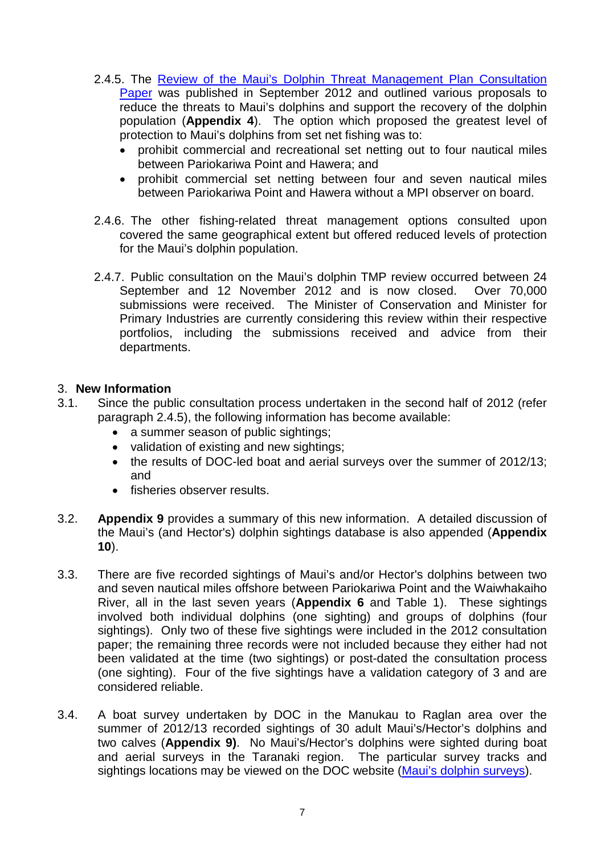- 2.4.5. The [Review of the Maui's Dolphin Threat Management Plan Consultation](http://www.fish.govt.nz/NR/rdonlyres/2ED73A95-5FCD-4A22-AC3D-97A65E0A7557/0/mauisdolphinthreatmanagementplandiscussiondocument201218.pdf)  [Paper](http://www.fish.govt.nz/NR/rdonlyres/2ED73A95-5FCD-4A22-AC3D-97A65E0A7557/0/mauisdolphinthreatmanagementplandiscussiondocument201218.pdf) was published in September 2012 and outlined various proposals to reduce the threats to Maui's dolphins and support the recovery of the dolphin population (**Appendix 4**). The option which proposed the greatest level of protection to Maui's dolphins from set net fishing was to:
	- prohibit commercial and recreational set netting out to four nautical miles between Pariokariwa Point and Hawera; and
	- prohibit commercial set netting between four and seven nautical miles between Pariokariwa Point and Hawera without a MPI observer on board.
- 2.4.6. The other fishing-related threat management options consulted upon covered the same geographical extent but offered reduced levels of protection for the Maui's dolphin population.
- 2.4.7. Public consultation on the Maui's dolphin TMP review occurred between 24 September and 12 November 2012 and is now closed. Over 70,000 submissions were received. The Minister of Conservation and Minister for Primary Industries are currently considering this review within their respective portfolios, including the submissions received and advice from their departments.

#### 3. **New Information**

- 3.1. Since the public consultation process undertaken in the second half of 2012 (refer paragraph 2.4.5), the following information has become available:
	- a summer season of public sightings;
	- validation of existing and new sightings;
	- the results of DOC-led boat and aerial surveys over the summer of 2012/13; and
	- fisheries observer results.
- 3.2. **Appendix 9** provides a summary of this new information. A detailed discussion of the Maui's (and Hector's) dolphin sightings database is also appended (**Appendix 10**).
- 3.3. There are five recorded sightings of Maui's and/or Hector's dolphins between two and seven nautical miles offshore between Pariokariwa Point and the Waiwhakaiho River, all in the last seven years (**Appendix 6** and Table 1). These sightings involved both individual dolphins (one sighting) and groups of dolphins (four sightings). Only two of these five sightings were included in the 2012 consultation paper; the remaining three records were not included because they either had not been validated at the time (two sightings) or post-dated the consultation process (one sighting). Four of the five sightings have a validation category of 3 and are considered reliable.
- 3.4. A boat survey undertaken by DOC in the Manukau to Raglan area over the summer of 2012/13 recorded sightings of 30 adult Maui's/Hector's dolphins and two calves (**Appendix 9)**. No Maui's/Hector's dolphins were sighted during boat and aerial surveys in the Taranaki region. The particular survey tracks and sightings locations may be viewed on the DOC website [\(Maui's dolphin surveys\)](http://www.doc.govt.nz/conservation/native-animals/marine-mammals/dolphins/mauis-dolphin/docs-work/mauis-dolphin-surveys/).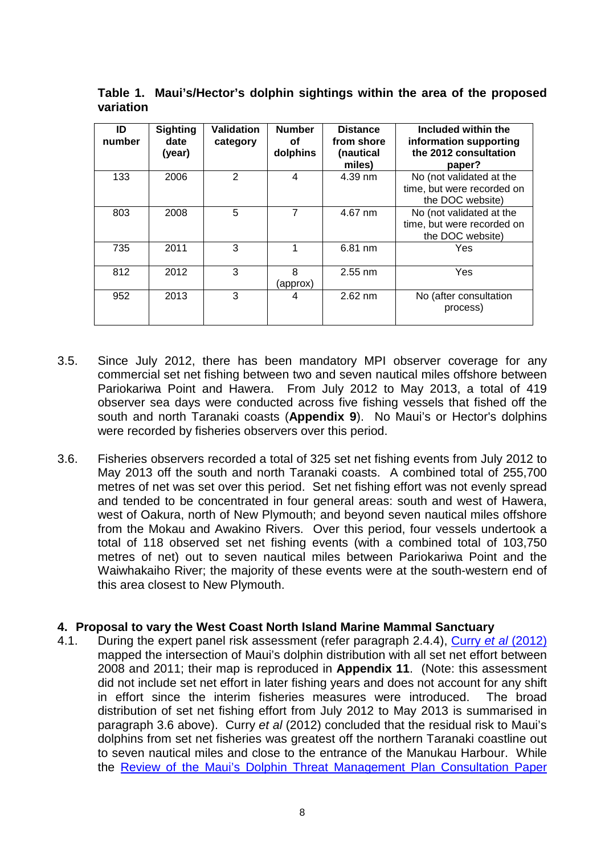| ID<br>number | <b>Sighting</b><br>date<br>(year) | <b>Validation</b><br>category | <b>Number</b><br>οf<br>dolphins | <b>Distance</b><br>from shore<br>(nautical<br>miles) | Included within the<br>information supporting<br>the 2012 consultation<br>paper? |
|--------------|-----------------------------------|-------------------------------|---------------------------------|------------------------------------------------------|----------------------------------------------------------------------------------|
| 133          | 2006                              | 2                             | 4                               | 4.39 nm                                              | No (not validated at the<br>time, but were recorded on<br>the DOC website)       |
| 803          | 2008                              | 5                             | 7                               | 4.67 nm                                              | No (not validated at the<br>time, but were recorded on<br>the DOC website)       |
| 735          | 2011                              | 3                             | 1                               | 6.81 nm                                              | Yes                                                                              |
| 812          | 2012                              | 3                             | 8<br>(approx)                   | $2.55$ nm                                            | Yes                                                                              |
| 952          | 2013                              | 3                             | 4                               | $2.62$ nm                                            | No (after consultation<br>process)                                               |

**Table 1. Maui's/Hector's dolphin sightings within the area of the proposed variation**

- 3.5. Since July 2012, there has been mandatory MPI observer coverage for any commercial set net fishing between two and seven nautical miles offshore between Pariokariwa Point and Hawera. From July 2012 to May 2013, a total of 419 observer sea days were conducted across five fishing vessels that fished off the south and north Taranaki coasts (**Appendix 9**). No Maui's or Hector's dolphins were recorded by fisheries observers over this period.
- 3.6. Fisheries observers recorded a total of 325 set net fishing events from July 2012 to May 2013 off the south and north Taranaki coasts. A combined total of 255,700 metres of net was set over this period. Set net fishing effort was not evenly spread and tended to be concentrated in four general areas: south and west of Hawera, west of Oakura, north of New Plymouth; and beyond seven nautical miles offshore from the Mokau and Awakino Rivers. Over this period, four vessels undertook a total of 118 observed set net fishing events (with a combined total of 103,750 metres of net) out to seven nautical miles between Pariokariwa Point and the Waiwhakaiho River; the majority of these events were at the south-western end of this area closest to New Plymouth.

# **4. Proposal to vary the West Coast North Island Marine Mammal Sanctuary**

4.1. During the expert panel risk assessment (refer paragraph 2.4.4), [Curry](http://www.doc.govt.nz/Documents/conservation/native-animals/marine-mammals/maui-tmp/mauis-dolphin-risk-assessment.pdf) *et al* (2012) mapped the intersection of Maui's dolphin distribution with all set net effort between 2008 and 2011; their map is reproduced in **Appendix 11**. (Note: this assessment did not include set net effort in later fishing years and does not account for any shift in effort since the interim fisheries measures were introduced. The broad distribution of set net fishing effort from July 2012 to May 2013 is summarised in paragraph 3.6 above). Curry *et al* (2012) concluded that the residual risk to Maui's dolphins from set net fisheries was greatest off the northern Taranaki coastline out to seven nautical miles and close to the entrance of the Manukau Harbour. While the [Review of the Maui's Dolphin Threat Management Plan Consultation Paper](http://www.fish.govt.nz/NR/rdonlyres/2ED73A95-5FCD-4A22-AC3D-97A65E0A7557/0/mauisdolphinthreatmanagementplandiscussiondocument201218.pdf)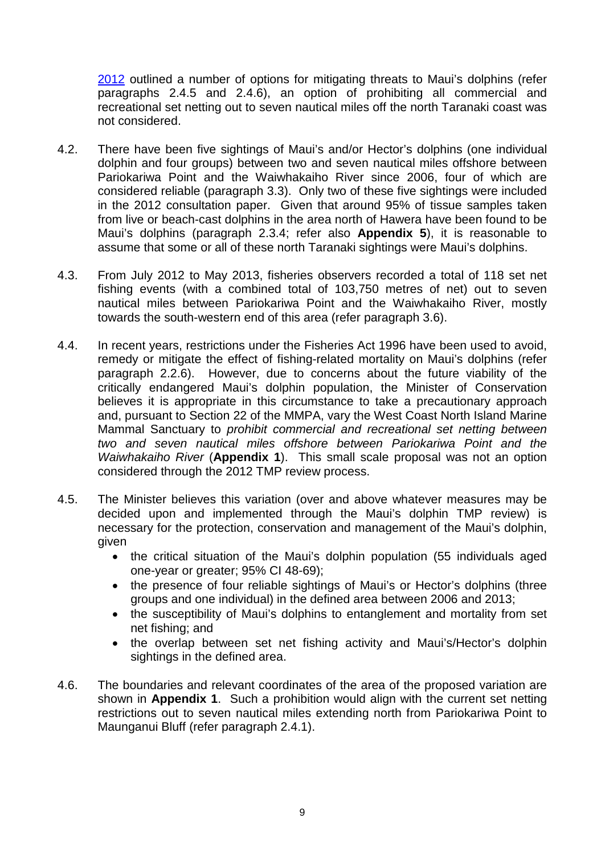2012 outlined a number of options for mitigating threats to Maui's dolphins (refer paragraphs 2.4.5 and 2.4.6), an option of prohibiting all commercial and recreational set netting out to seven nautical miles off the north Taranaki coast was not considered.

- 4.2. There have been five sightings of Maui's and/or Hector's dolphins (one individual dolphin and four groups) between two and seven nautical miles offshore between Pariokariwa Point and the Waiwhakaiho River since 2006, four of which are considered reliable (paragraph 3.3). Only two of these five sightings were included in the 2012 consultation paper. Given that around 95% of tissue samples taken from live or beach-cast dolphins in the area north of Hawera have been found to be Maui's dolphins (paragraph 2.3.4; refer also **Appendix 5**), it is reasonable to assume that some or all of these north Taranaki sightings were Maui's dolphins.
- 4.3. From July 2012 to May 2013, fisheries observers recorded a total of 118 set net fishing events (with a combined total of 103,750 metres of net) out to seven nautical miles between Pariokariwa Point and the Waiwhakaiho River, mostly towards the south-western end of this area (refer paragraph 3.6).
- 4.4. In recent years, restrictions under the Fisheries Act 1996 have been used to avoid, remedy or mitigate the effect of fishing-related mortality on Maui's dolphins (refer paragraph 2.2.6). However, due to concerns about the future viability of the critically endangered Maui's dolphin population, the Minister of Conservation believes it is appropriate in this circumstance to take a precautionary approach and, pursuant to Section 22 of the MMPA, vary the West Coast North Island Marine Mammal Sanctuary to *prohibit commercial and recreational set netting between two and seven nautical miles offshore between Pariokariwa Point and the Waiwhakaiho River* (**Appendix 1**). This small scale proposal was not an option considered through the 2012 TMP review process.
- 4.5. The Minister believes this variation (over and above whatever measures may be decided upon and implemented through the Maui's dolphin TMP review) is necessary for the protection, conservation and management of the Maui's dolphin, given
	- the critical situation of the Maui's dolphin population (55 individuals aged one-year or greater; 95% CI 48-69);
	- the presence of four reliable sightings of Maui's or Hector's dolphins (three groups and one individual) in the defined area between 2006 and 2013;
	- the susceptibility of Maui's dolphins to entanglement and mortality from set net fishing; and
	- the overlap between set net fishing activity and Maui's/Hector's dolphin sightings in the defined area.
- 4.6. The boundaries and relevant coordinates of the area of the proposed variation are shown in **Appendix 1**. Such a prohibition would align with the current set netting restrictions out to seven nautical miles extending north from Pariokariwa Point to Maunganui Bluff (refer paragraph 2.4.1).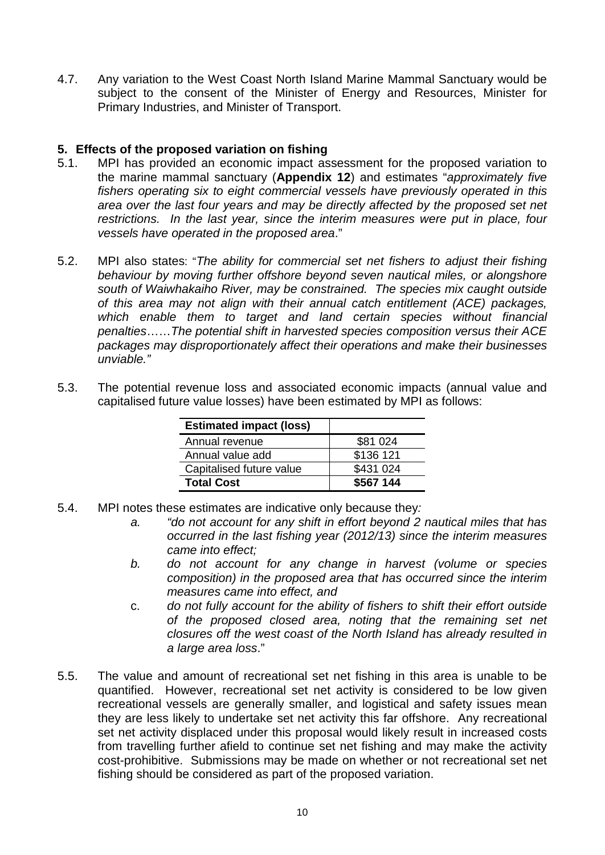4.7. Any variation to the West Coast North Island Marine Mammal Sanctuary would be subject to the consent of the Minister of Energy and Resources, Minister for Primary Industries, and Minister of Transport.

# **5. Effects of the proposed variation on fishing**

- MPI has provided an economic impact assessment for the proposed variation to the marine mammal sanctuary (**Appendix 12**) and estimates "*approximately five fishers operating six to eight commercial vessels have previously operated in this area over the last four years and may be directly affected by the proposed set net restrictions. In the last year, since the interim measures were put in place, four vessels have operated in the proposed area*."
- 5.2. MPI also states: "*The ability for commercial set net fishers to adjust their fishing behaviour by moving further offshore beyond seven nautical miles, or alongshore south of Waiwhakaiho River, may be constrained. The species mix caught outside of this area may not align with their annual catch entitlement (ACE) packages, which enable them to target and land certain species without financial penalties*……*The potential shift in harvested species composition versus their ACE packages may disproportionately affect their operations and make their businesses unviable."*
- 5.3. The potential revenue loss and associated economic impacts (annual value and capitalised future value losses) have been estimated by MPI as follows:

| <b>Estimated impact (loss)</b> |           |
|--------------------------------|-----------|
| Annual revenue                 | \$81 024  |
| Annual value add               | \$136 121 |
| Capitalised future value       | \$431 024 |
| <b>Total Cost</b>              | \$567 144 |

- 5.4. MPI notes these estimates are indicative only because they*:*
	- *a. "do not account for any shift in effort beyond 2 nautical miles that has occurred in the last fishing year (2012/13) since the interim measures came into effect;*
	- *b. do not account for any change in harvest (volume or species composition) in the proposed area that has occurred since the interim measures came into effect, and*
	- c. *do not fully account for the ability of fishers to shift their effort outside of the proposed closed area, noting that the remaining set net closures off the west coast of the North Island has already resulted in a large area loss*."
- 5.5. The value and amount of recreational set net fishing in this area is unable to be quantified. However, recreational set net activity is considered to be low given recreational vessels are generally smaller, and logistical and safety issues mean they are less likely to undertake set net activity this far offshore. Any recreational set net activity displaced under this proposal would likely result in increased costs from travelling further afield to continue set net fishing and may make the activity cost-prohibitive. Submissions may be made on whether or not recreational set net fishing should be considered as part of the proposed variation.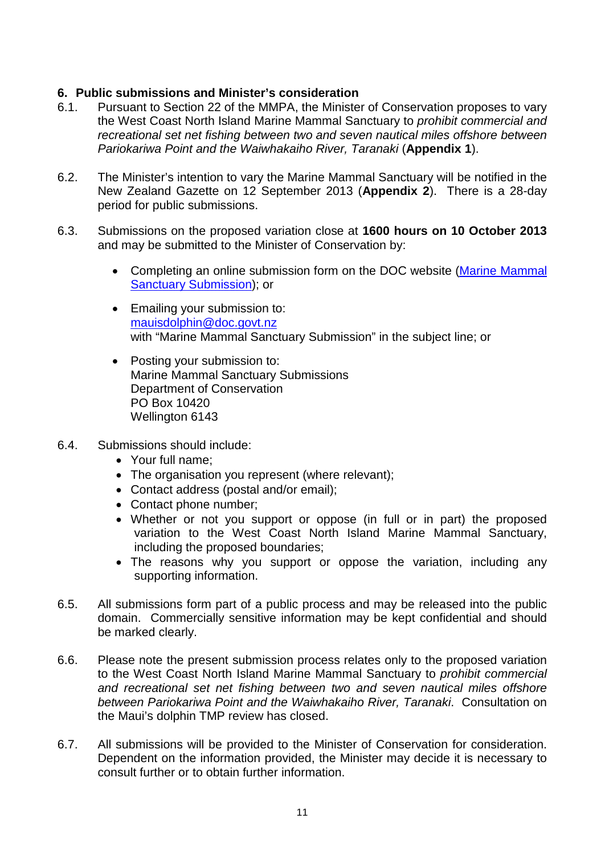# **6. Public submissions and Minister's consideration**

- Pursuant to Section 22 of the MMPA, the Minister of Conservation proposes to vary the West Coast North Island Marine Mammal Sanctuary to *prohibit commercial and recreational set net fishing between two and seven nautical miles offshore between Pariokariwa Point and the Waiwhakaiho River, Taranaki* (**Appendix 1**).
- 6.2. The Minister's intention to vary the Marine Mammal Sanctuary will be notified in the New Zealand Gazette on 12 September 2013 (**Appendix 2**). There is a 28-day period for public submissions.
- 6.3. Submissions on the proposed variation close at **1600 hours on 10 October 2013** and may be submitted to the Minister of Conservation by:
	- Completing an online submission form on the DOC website [\(Marine Mammal](http://www.doc.govt.nz/sanctuary-consultation-submission-form)  [Sanctuary Submission\)](http://www.doc.govt.nz/sanctuary-consultation-submission-form); or
	- Emailing your submission to: [mauisdolphin@doc.govt.nz](mailto:mauisdolphin@doc.govt.nz) with "Marine Mammal Sanctuary Submission" in the subject line; or
	- Posting your submission to: Marine Mammal Sanctuary Submissions Department of Conservation PO Box 10420 Wellington 6143
- 6.4. Submissions should include:
	- Your full name;
	- The organisation you represent (where relevant);
	- Contact address (postal and/or email);
	- Contact phone number;
	- Whether or not you support or oppose (in full or in part) the proposed variation to the West Coast North Island Marine Mammal Sanctuary, including the proposed boundaries;
	- The reasons why you support or oppose the variation, including any supporting information.
- 6.5. All submissions form part of a public process and may be released into the public domain. Commercially sensitive information may be kept confidential and should be marked clearly.
- 6.6. Please note the present submission process relates only to the proposed variation to the West Coast North Island Marine Mammal Sanctuary to *prohibit commercial and recreational set net fishing between two and seven nautical miles offshore between Pariokariwa Point and the Waiwhakaiho River, Taranaki*. Consultation on the Maui's dolphin TMP review has closed.
- 6.7. All submissions will be provided to the Minister of Conservation for consideration. Dependent on the information provided, the Minister may decide it is necessary to consult further or to obtain further information.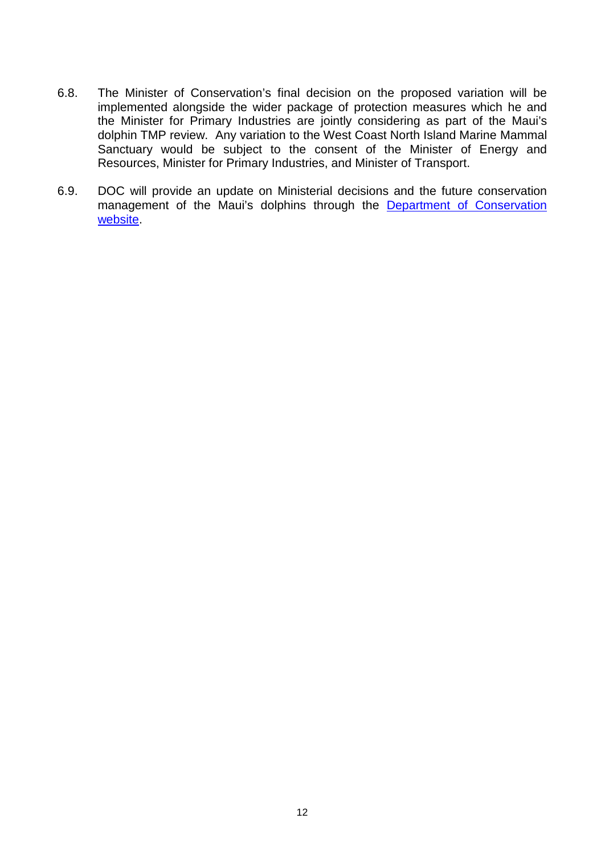- 6.8. The Minister of Conservation's final decision on the proposed variation will be implemented alongside the wider package of protection measures which he and the Minister for Primary Industries are jointly considering as part of the Maui's dolphin TMP review. Any variation to the West Coast North Island Marine Mammal Sanctuary would be subject to the consent of the Minister of Energy and Resources, Minister for Primary Industries, and Minister of Transport.
- 6.9. DOC will provide an update on Ministerial decisions and the future conservation management of the Maui's dolphins through the [Department of Conservation](http://www.doc.govt.nz/)  [website.](http://www.doc.govt.nz/)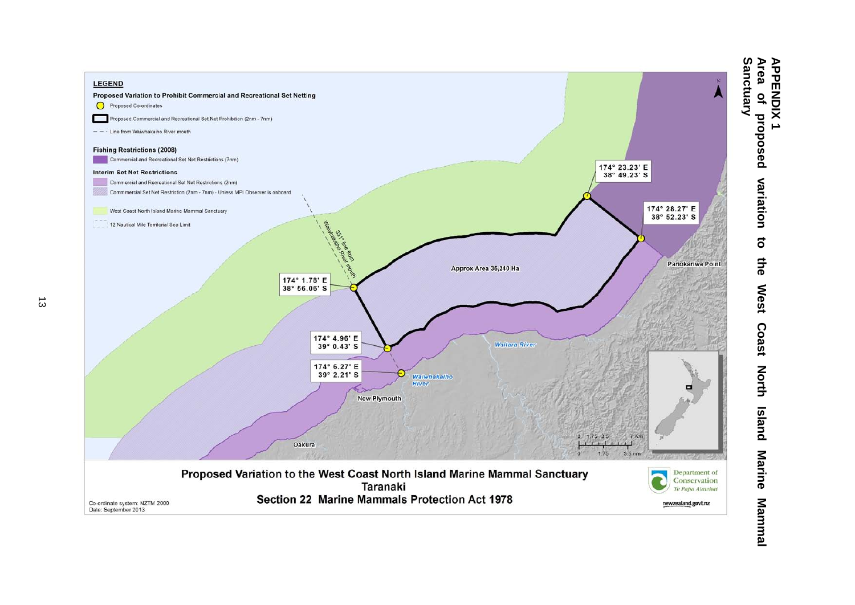

**APPENDIX**<br>Area of pr<br>Sanctuary **Area of proposed variation to the West Coast North Island Marine Mammal APPENDIX 1** proposed variation  $\overline{5}$ 5<br>아 **West** Coast **North Island Marine** Mammal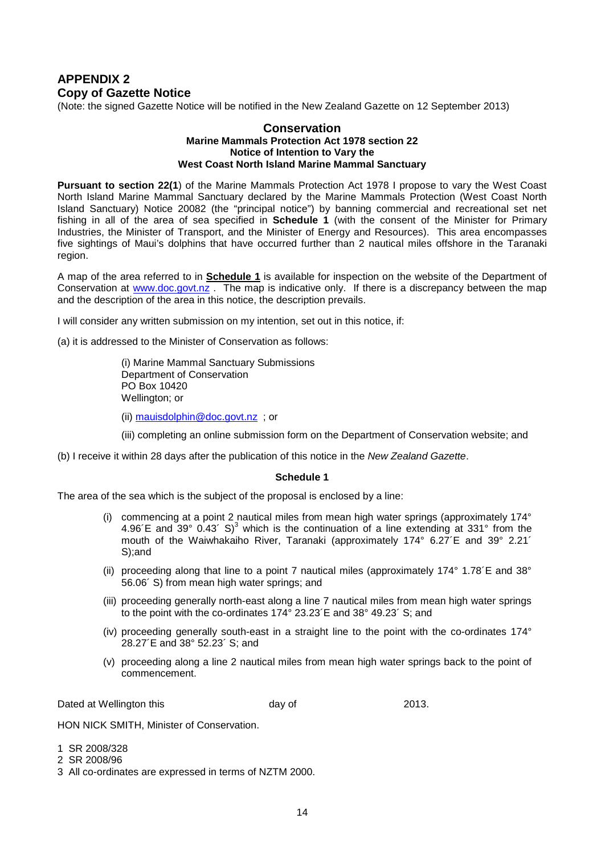## **APPENDIX 2 Copy of Gazette Notice**

(Note: the signed Gazette Notice will be notified in the New Zealand Gazette on 12 September 2013)

#### **Conservation Marine Mammals Protection Act 1978 section 22 Notice of Intention to Vary the West Coast North Island Marine Mammal Sanctuary**

**Pursuant to section 22(1**) of the Marine Mammals Protection Act 1978 I propose to vary the West Coast North Island Marine Mammal Sanctuary declared by the Marine Mammals Protection (West Coast North Island Sanctuary) Notice 20082 (the "principal notice") by banning commercial and recreational set net fishing in all of the area of sea specified in **Schedule 1** (with the consent of the Minister for Primary Industries, the Minister of Transport, and the Minister of Energy and Resources). This area encompasses five sightings of Maui's dolphins that have occurred further than 2 nautical miles offshore in the Taranaki region.

A map of the area referred to in **Schedule 1** is available for inspection on the website of the Department of Conservation at [www.doc.govt.nz](http://www.doc.govt.nz/) . The map is indicative only. If there is a discrepancy between the map and the description of the area in this notice, the description prevails.

I will consider any written submission on my intention, set out in this notice, if:

(a) it is addressed to the Minister of Conservation as follows:

(i) Marine Mammal Sanctuary Submissions Department of Conservation PO Box 10420 Wellington; or

(ii) [mauisdolphin@doc.govt.nz](mailto:mauitmp@doc.govt.nz) ; or

(iii) completing an online submission form on the Department of Conservation website; and

(b) I receive it within 28 days after the publication of this notice in the *New Zealand Gazette*.

#### **Schedule 1**

The area of the sea which is the subject of the proposal is enclosed by a line:

- (i) commencing at a point 2 nautical miles from mean high water springs (approximately  $174^\circ$ 4.96 $\text{/E}$  and 39° 0.43 $\text{/ S}$ <sup>3</sup> which is the continuation of a line extending at 331° from the mouth of the Waiwhakaiho River, Taranaki (approximately 174° 6.27´E and 39° 2.21´ S);and
- (ii) proceeding along that line to a point 7 nautical miles (approximately  $174^{\circ}$  1.78 $\text{/}$ E and 38 $^{\circ}$ 56.06´ S) from mean high water springs; and
- (iii) proceeding generally north-east along a line 7 nautical miles from mean high water springs to the point with the co-ordinates 174° 23.23´E and 38° 49.23´ S; and
- (iv) proceeding generally south-east in a straight line to the point with the co-ordinates 174° 28.27´E and 38° 52.23´ S; and
- (v) proceeding along a line 2 nautical miles from mean high water springs back to the point of commencement.

Dated at Wellington this **Example 2013**. Contains the control of the 2013.

HON NICK SMITH, Minister of Conservation.

- 1 SR 2008/328
- 2 SR 2008/96
- 3 All co-ordinates are expressed in terms of NZTM 2000.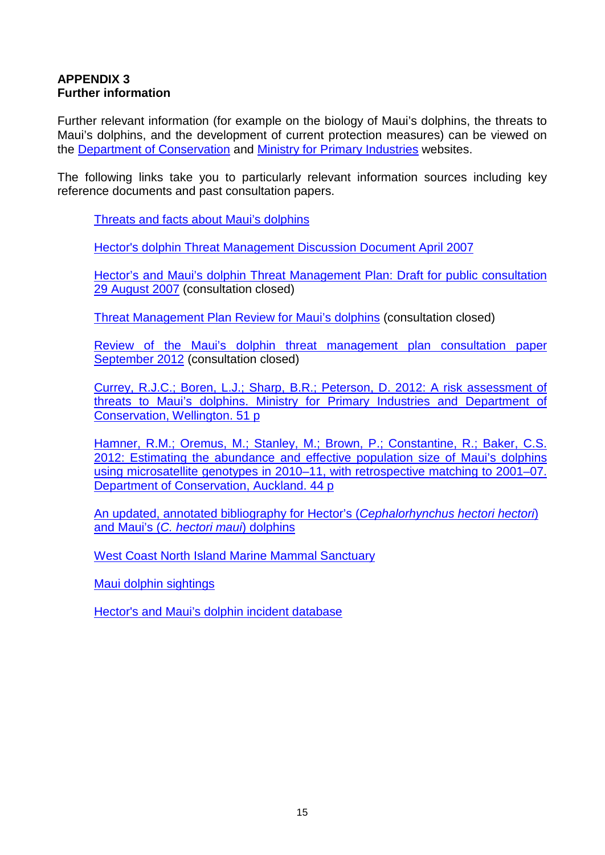## **APPENDIX 3 Further information**

Further relevant information (for example on the biology of Maui's dolphins, the threats to Maui's dolphins, and the development of current protection measures) can be viewed on the [Department of Conservation](http://www.doc.govt.nz/) and [Ministry for Primary Industries](http://www.fish.govt.nz/en-nz/default.htm) websites.

The following links take you to particularly relevant information sources including key reference documents and past consultation papers.

[Threats and facts about Maui's dolphins](http://www.doc.govt.nz/conservation/native-animals/marine-mammals/dolphins/mauis-dolphin/)

[Hector's dolphin Threat Management Discussion Document April 2007](http://www.fish.govt.nz/NR/rdonlyres/2C2AB64F-ABA8-4F6B-954F-BFE76C102C38/0/hectors_discussion_document_april_07.pdf)

[Hector's and Maui's dolphin Threat Management Plan: Draft for public consultation](http://www.fish.govt.nz/en-nz/Consultations/Under+Review/hector/default.htm)  [29 August 2007](http://www.fish.govt.nz/en-nz/Consultations/Under+Review/hector/default.htm) (consultation closed)

[Threat Management Plan Review for Maui's dolphins](http://www.doc.govt.nz/getting-involved/consultations/closed/threat-management-plan-review-for-mauis-dolphin/) (consultation closed)

[Review of the Maui's dolphin threat management plan consultation paper](http://www.fish.govt.nz/NR/rdonlyres/2ED73A95-5FCD-4A22-AC3D-97A65E0A7557/0/mauisdolphinthreatmanagementplandiscussiondocument201218.pdf)  [September 2012](http://www.fish.govt.nz/NR/rdonlyres/2ED73A95-5FCD-4A22-AC3D-97A65E0A7557/0/mauisdolphinthreatmanagementplandiscussiondocument201218.pdf) (consultation closed)

[Currey, R.J.C.; Boren, L.J.; Sharp, B.R.; Peterson, D. 2012: A risk assessment of](http://www.doc.govt.nz/Documents/conservation/native-animals/marine-mammals/maui-tmp/mauis-dolphin-risk-assessment.pdf)  [threats to Maui's dolphins. Ministry for Primary Industries and Department of](http://www.doc.govt.nz/Documents/conservation/native-animals/marine-mammals/maui-tmp/mauis-dolphin-risk-assessment.pdf)  [Conservation, Wellington. 51 p](http://www.doc.govt.nz/Documents/conservation/native-animals/marine-mammals/maui-tmp/mauis-dolphin-risk-assessment.pdf)

[Hamner, R.M.; Oremus, M.; Stanley, M.; Brown, P.; Constantine, R.; Baker, C.S.](http://www.doc.govt.nz/Documents/conservation/native-animals/marine-mammals/mauis-dolphin-abundance-estimate-report.pdf)  [2012: Estimating the abundance and effective population size of Maui's dolphins](http://www.doc.govt.nz/Documents/conservation/native-animals/marine-mammals/mauis-dolphin-abundance-estimate-report.pdf)  [using microsatellite genotypes in 2010–11, with retrospective matching to 2001–07.](http://www.doc.govt.nz/Documents/conservation/native-animals/marine-mammals/mauis-dolphin-abundance-estimate-report.pdf)  [Department of Conservation, Auckland. 44 p](http://www.doc.govt.nz/Documents/conservation/native-animals/marine-mammals/mauis-dolphin-abundance-estimate-report.pdf)

[An updated, annotated bibliography for Hector's \(](http://www.doc.govt.nz/Documents/science-and-technical/drds332entire.pdf)*Cephalorhynchus hectori hectori*) [and Maui's \(](http://www.doc.govt.nz/Documents/science-and-technical/drds332entire.pdf)*C. hectori maui*) dolphins

[West Coast North Island Marine Mammal Sanctuary](http://www.doc.govt.nz/conservation/marine-and-coastal/marine-protected-areas/marine-mammal-sanctuaries/west-coast-north-island/)

[Maui dolphin sightings](http://www.doc.govt.nz/mauisightings)

[Hector's and Maui's dolphin incident database](http://www.doc.govt.nz/dolphinincidents)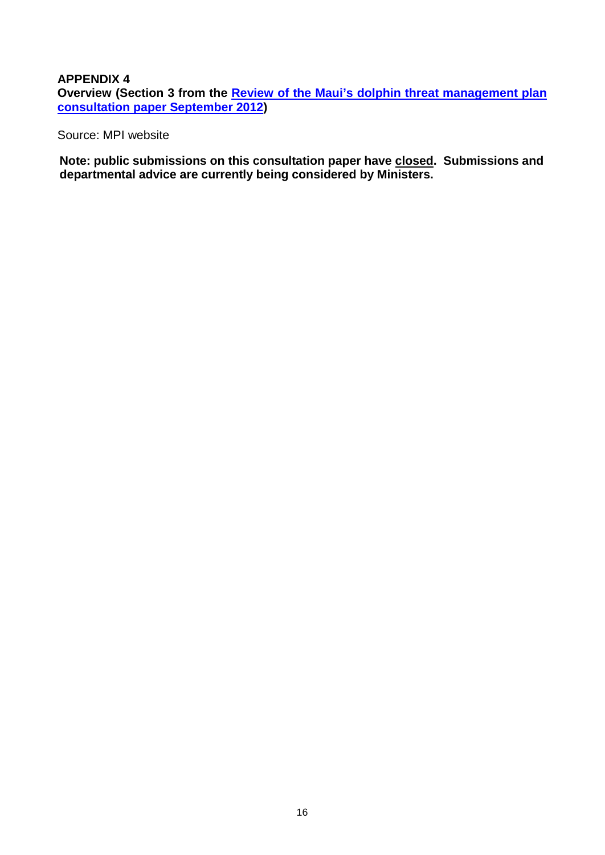### **APPENDIX 4**

**Overview (Section 3 from the [Review of the Maui's dolphin threat management plan](http://www.fish.govt.nz/NR/rdonlyres/2ED73A95-5FCD-4A22-AC3D-97A65E0A7557/0/mauisdolphinthreatmanagementplandiscussiondocument201218.pdf)  [consultation paper September 2012\)](http://www.fish.govt.nz/NR/rdonlyres/2ED73A95-5FCD-4A22-AC3D-97A65E0A7557/0/mauisdolphinthreatmanagementplandiscussiondocument201218.pdf)**

Source: MPI website

**Note: public submissions on this consultation paper have closed. Submissions and departmental advice are currently being considered by Ministers.**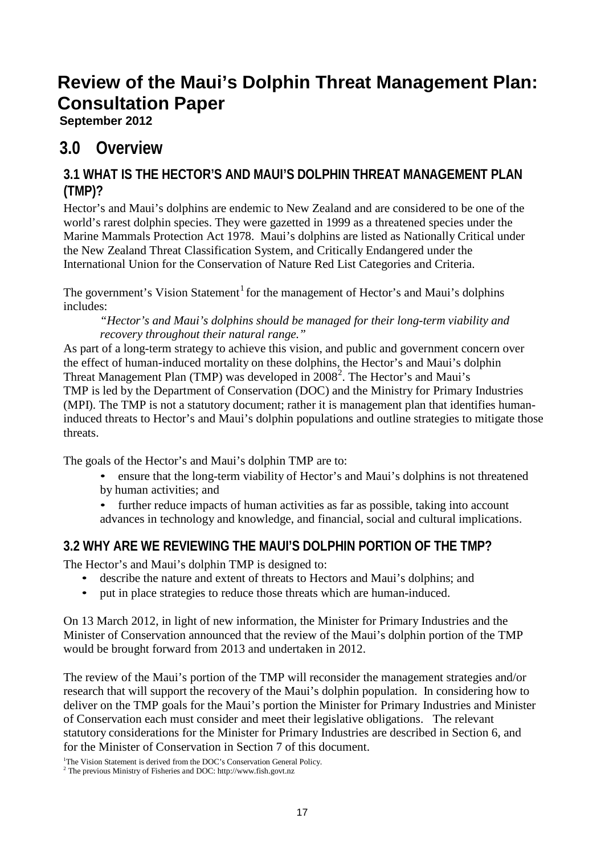# **Review of the Maui's Dolphin Threat Management Plan: Consultation Paper**

**September 2012**

## **3.0 Overview**

## **3.1 WHAT IS THE HECTOR'S AND MAUI'S DOLPHIN THREAT MANAGEMENT PLAN (TMP)?**

Hector's and Maui's dolphins are endemic to New Zealand and are considered to be one of the world's rarest dolphin species. They were gazetted in 1999 as a threatened species under the Marine Mammals Protection Act 1978. Maui's dolphins are listed as Nationally Critical under the New Zealand Threat Classification System, and Critically Endangered under the International Union for the Conservation of Nature Red List Categories and Criteria.

The government's Vision Statement<sup>1</sup> for the management of Hector's and Maui's dolphins includes:

*"Hector's and Maui's dolphins should be managed for their long-term viability and recovery throughout their natural range."*

As part of a long-term strategy to achieve this vision, and public and government concern over the effect of human-induced mortality on these dolphins, the Hector's and Maui's dolphin Threat Management Plan (TMP) was developed in  $2008^2$ . The Hector's and Maui's TMP is led by the Department of Conservation (DOC) and the Ministry for Primary Industries (MPI). The TMP is not a statutory document; rather it is management plan that identifies humaninduced threats to Hector's and Maui's dolphin populations and outline strategies to mitigate those threats.

The goals of the Hector's and Maui's dolphin TMP are to:

• ensure that the long-term viability of Hector's and Maui's dolphins is not threatened by human activities; and

• further reduce impacts of human activities as far as possible, taking into account advances in technology and knowledge, and financial, social and cultural implications.

## **3.2 WHY ARE WE REVIEWING THE MAUI'S DOLPHIN PORTION OF THE TMP?**

The Hector's and Maui's dolphin TMP is designed to:

- describe the nature and extent of threats to Hectors and Maui's dolphins; and
- put in place strategies to reduce those threats which are human-induced.

On 13 March 2012, in light of new information, the Minister for Primary Industries and the Minister of Conservation announced that the review of the Maui's dolphin portion of the TMP would be brought forward from 2013 and undertaken in 2012.

The review of the Maui's portion of the TMP will reconsider the management strategies and/or research that will support the recovery of the Maui's dolphin population. In considering how to deliver on the TMP goals for the Maui's portion the Minister for Primary Industries and Minister of Conservation each must consider and meet their legislative obligations. The relevant statutory considerations for the Minister for Primary Industries are described in Section 6, and for the Minister of Conservation in Section 7 of this document.

<sup>1</sup>The Vision Statement is derived from the DOC's Conservation General Policy.

 $^{\rm 2}$  The previous Ministry of Fisheries and DOC: [http://www.fish.govt.nz](http://www.fish.govt.nz/)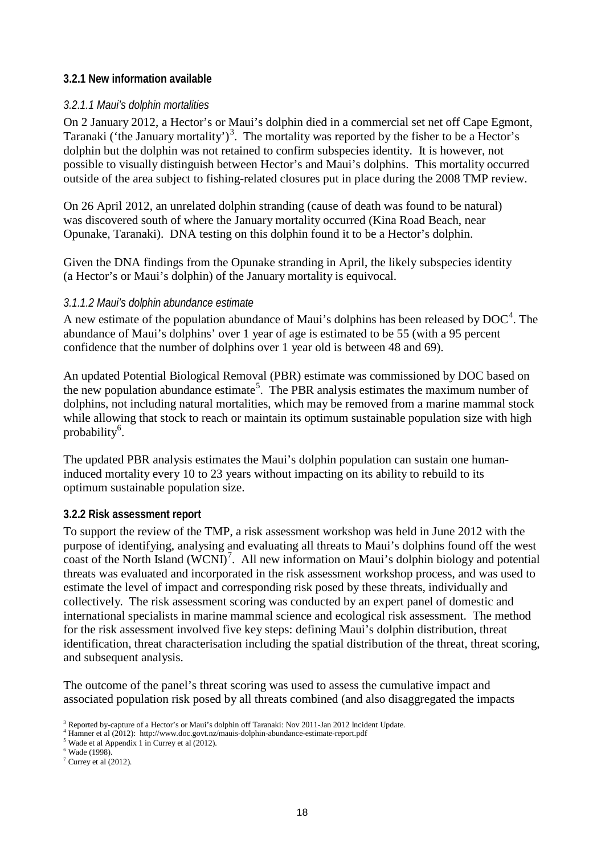#### **3.2.1 New information available**

#### *3.2.1.1 Maui's dolphin mortalities*

On 2 January 2012, a Hector's or Maui's dolphin died in a commercial set net off Cape Egmont, Taranaki ('the January mortality')<sup>3</sup>. The mortality was reported by the fisher to be a Hector's dolphin but the dolphin was not retained to confirm subspecies identity. It is however, not possible to visually distinguish between Hector's and Maui's dolphins. This mortality occurred outside of the area subject to fishing-related closures put in place during the 2008 TMP review.

On 26 April 2012, an unrelated dolphin stranding (cause of death was found to be natural) was discovered south of where the January mortality occurred (Kina Road Beach, near Opunake, Taranaki). DNA testing on this dolphin found it to be a Hector's dolphin.

Given the DNA findings from the Opunake stranding in April, the likely subspecies identity (a Hector's or Maui's dolphin) of the January mortality is equivocal.

#### *3.1.1.2 Maui's dolphin abundance estimate*

A new estimate of the population abundance of Maui's dolphins has been released by  $DOC^{4}$ . The abundance of Maui's dolphins' over 1 year of age is estimated to be 55 (with a 95 percent confidence that the number of dolphins over 1 year old is between 48 and 69).

An updated Potential Biological Removal (PBR) estimate was commissioned by DOC based on the new population abundance estimate<sup>5</sup>. The PBR analysis estimates the maximum number of dolphins, not including natural mortalities, which may be removed from a marine mammal stock while allowing that stock to reach or maintain its optimum sustainable population size with high probability<sup>6</sup>.

The updated PBR analysis estimates the Maui's dolphin population can sustain one humaninduced mortality every 10 to 23 years without impacting on its ability to rebuild to its optimum sustainable population size.

#### **3.2.2 Risk assessment report**

To support the review of the TMP, a risk assessment workshop was held in June 2012 with the purpose of identifying, analysing and evaluating all threats to Maui's dolphins found off the west coast of the North Island  $(WCNI)^7$ . All new information on Maui's dolphin biology and potential threats was evaluated and incorporated in the risk assessment workshop process, and was used to estimate the level of impact and corresponding risk posed by these threats, individually and collectively. The risk assessment scoring was conducted by an expert panel of domestic and international specialists in marine mammal science and ecological risk assessment. The method for the risk assessment involved five key steps: defining Maui's dolphin distribution, threat identification, threat characterisation including the spatial distribution of the threat, threat scoring, and subsequent analysis.

The outcome of the panel's threat scoring was used to assess the cumulative impact and associated population risk posed by all threats combined (and also disaggregated the impacts

<sup>&</sup>lt;sup>3</sup> Reported by-capture of a Hector's or Maui's dolphin off Taranaki: [Nov 2011-Jan 2012](http://www.doc.govt.nz/templates/openpage.aspx?id=125648) Incident Update.<br><sup>4</sup> Hamner et al (2012[\): http://www.doc.govt.nz/mauis-dolphin-abundance-estimate-report.pdf](http://www.doc.govt.nz/upload/documents/conservation/native-animals/marine-mammals/mauis-dolphin-abundance-estimate-report.pdf)<br><sup>5</sup> Wade et al Appendix

 $6$  Wade (1998).

 $\sqrt{7}$  Currey et al (2012).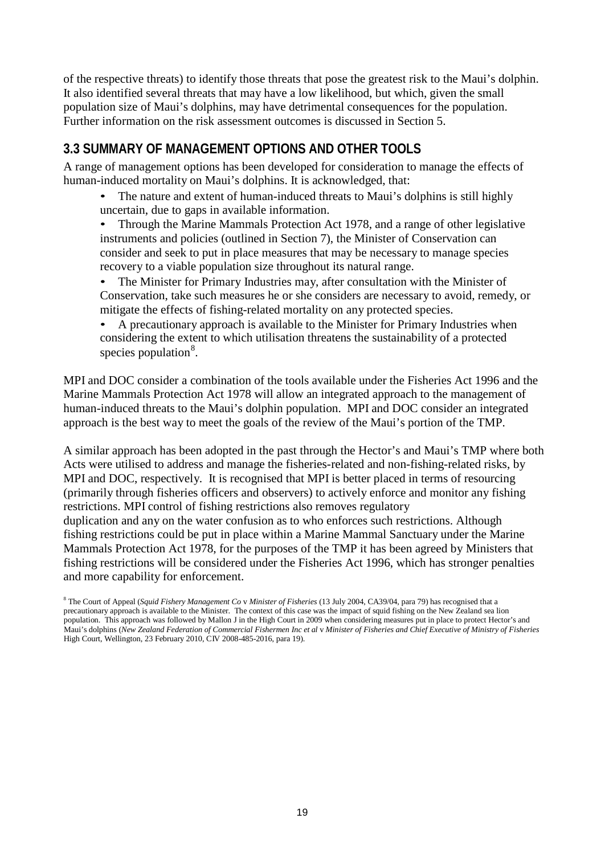of the respective threats) to identify those threats that pose the greatest risk to the Maui's dolphin. It also identified several threats that may have a low likelihood, but which, given the small population size of Maui's dolphins, may have detrimental consequences for the population. Further information on the risk assessment outcomes is discussed in Section 5.

## **3.3 SUMMARY OF MANAGEMENT OPTIONS AND OTHER TOOLS**

A range of management options has been developed for consideration to manage the effects of human-induced mortality on Maui's dolphins. It is acknowledged, that:

• The nature and extent of human-induced threats to Maui's dolphins is still highly uncertain, due to gaps in available information.

• Through the Marine Mammals Protection Act 1978, and a range of other legislative instruments and policies (outlined in Section 7), the Minister of Conservation can consider and seek to put in place measures that may be necessary to manage species recovery to a viable population size throughout its natural range.

• The Minister for Primary Industries may, after consultation with the Minister of Conservation, take such measures he or she considers are necessary to avoid, remedy, or mitigate the effects of fishing-related mortality on any protected species.

• A precautionary approach is available to the Minister for Primary Industries when considering the extent to which utilisation threatens the sustainability of a protected species population<sup>8</sup>.

MPI and DOC consider a combination of the tools available under the Fisheries Act 1996 and the Marine Mammals Protection Act 1978 will allow an integrated approach to the management of human-induced threats to the Maui's dolphin population. MPI and DOC consider an integrated approach is the best way to meet the goals of the review of the Maui's portion of the TMP.

A similar approach has been adopted in the past through the Hector's and Maui's TMP where both Acts were utilised to address and manage the fisheries-related and non-fishing-related risks, by MPI and DOC, respectively. It is recognised that MPI is better placed in terms of resourcing (primarily through fisheries officers and observers) to actively enforce and monitor any fishing restrictions. MPI control of fishing restrictions also removes regulatory duplication and any on the water confusion as to who enforces such restrictions. Although fishing restrictions could be put in place within a Marine Mammal Sanctuary under the Marine Mammals Protection Act 1978, for the purposes of the TMP it has been agreed by Ministers that fishing restrictions will be considered under the Fisheries Act 1996, which has stronger penalties and more capability for enforcement.

<sup>8</sup> The Court of Appeal (*Squid Fishery Management Co* v *Minister of Fisheries* (13 July 2004, CA39/04, para 79) has recognised that a precautionary approach is available to the Minister. The context of this case was the impact of squid fishing on the New Zealand sea lion population. This approach was followed by Mallon J in the High Court in 2009 when considering measures put in place to protect Hector's and Maui's dolphins (New Zealand Federation of Commercial Fishermen Inc et al v Minister of Fisheries and Chief Executive of Ministry of Fisheries High Court, Wellington, 23 February 2010, CIV 2008-485-2016, para 19).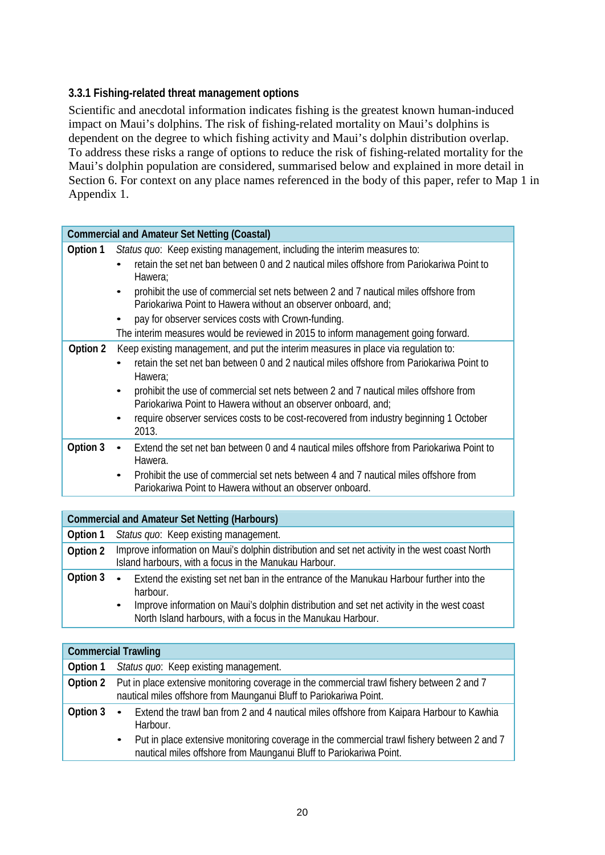## **3.3.1 Fishing-related threat management options**

Scientific and anecdotal information indicates fishing is the greatest known human-induced impact on Maui's dolphins. The risk of fishing-related mortality on Maui's dolphins is dependent on the degree to which fishing activity and Maui's dolphin distribution overlap. To address these risks a range of options to reduce the risk of fishing-related mortality for the Maui's dolphin population are considered, summarised below and explained in more detail in Section 6. For context on any place names referenced in the body of this paper, refer to Map 1 in Appendix 1.

|          | <b>Commercial and Amateur Set Netting (Coastal)</b>                                                                                                                |
|----------|--------------------------------------------------------------------------------------------------------------------------------------------------------------------|
| Option 1 | Status quo: Keep existing management, including the interim measures to:                                                                                           |
|          | retain the set net ban between 0 and 2 nautical miles offshore from Pariokariwa Point to<br>Hawera;                                                                |
|          | prohibit the use of commercial set nets between 2 and 7 nautical miles offshore from<br>$\bullet$<br>Pariokariwa Point to Hawera without an observer onboard, and: |
|          | pay for observer services costs with Crown-funding.                                                                                                                |
|          | The interim measures would be reviewed in 2015 to inform management going forward.                                                                                 |
| Option 2 | Keep existing management, and put the interim measures in place via regulation to:                                                                                 |
|          | retain the set net ban between 0 and 2 nautical miles offshore from Pariokariwa Point to<br>$\bullet$<br>Hawera;                                                   |
|          | prohibit the use of commercial set nets between 2 and 7 nautical miles offshore from<br>$\bullet$<br>Pariokariwa Point to Hawera without an observer onboard, and; |
|          | require observer services costs to be cost-recovered from industry beginning 1 October<br>2013.                                                                    |
| Option 3 | Extend the set net ban between 0 and 4 nautical miles offshore from Pariokariwa Point to<br>$\bullet$<br>Hawera.                                                   |
|          | Prohibit the use of commercial set nets between 4 and 7 nautical miles offshore from<br>$\bullet$<br>Pariokariwa Point to Hawera without an observer onboard.      |

|          | <b>Commercial and Amateur Set Netting (Harbours)</b>                                                                                                                                                                                                                                      |
|----------|-------------------------------------------------------------------------------------------------------------------------------------------------------------------------------------------------------------------------------------------------------------------------------------------|
| Option 1 | Status quo: Keep existing management.                                                                                                                                                                                                                                                     |
| Option 2 | Improve information on Maui's dolphin distribution and set net activity in the west coast North<br>Island harbours, with a focus in the Manukau Harbour.                                                                                                                                  |
| Option 3 | Extend the existing set net ban in the entrance of the Manukau Harbour further into the<br>$\bullet$<br>harbour.<br>Improve information on Maui's dolphin distribution and set net activity in the west coast<br>$\bullet$<br>North Island harbours, with a focus in the Manukau Harbour. |

|          | <b>Commercial Trawling</b>                                                                                                                                                                                                                                                                         |
|----------|----------------------------------------------------------------------------------------------------------------------------------------------------------------------------------------------------------------------------------------------------------------------------------------------------|
| Option 1 | Status quo: Keep existing management.                                                                                                                                                                                                                                                              |
| Option 2 | Put in place extensive monitoring coverage in the commercial trawl fishery between 2 and 7<br>nautical miles offshore from Maunganui Bluff to Pariokariwa Point.                                                                                                                                   |
| Option 3 | Extend the trawl ban from 2 and 4 nautical miles offshore from Kaipara Harbour to Kawhia<br>$\bullet$<br>Harbour.<br>Put in place extensive monitoring coverage in the commercial trawl fishery between 2 and 7<br>$\bullet$<br>nautical miles offshore from Maunganui Bluff to Pariokariwa Point. |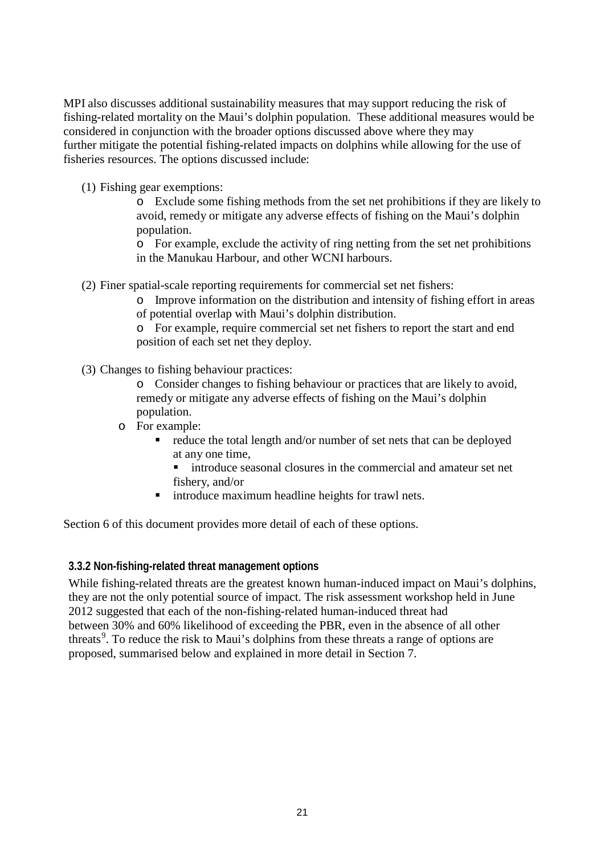MPI also discusses additional sustainability measures that may support reducing the risk of fishing-related mortality on the Maui's dolphin population. These additional measures would be considered in conjunction with the broader options discussed above where they may further mitigate the potential fishing-related impacts on dolphins while allowing for the use of fisheries resources. The options discussed include:

(1) Fishing gear exemptions:

o Exclude some fishing methods from the set net prohibitions if they are likely to avoid, remedy or mitigate any adverse effects of fishing on the Maui's dolphin population.

o For example, exclude the activity of ring netting from the set net prohibitions in the Manukau Harbour, and other WCNI harbours.

(2) Finer spatial-scale reporting requirements for commercial set net fishers:

o Improve information on the distribution and intensity of fishing effort in areas of potential overlap with Maui's dolphin distribution.

o For example, require commercial set net fishers to report the start and end position of each set net they deploy.

(3) Changes to fishing behaviour practices:

o Consider changes to fishing behaviour or practices that are likely to avoid, remedy or mitigate any adverse effects of fishing on the Maui's dolphin population.

- o For example:
	- reduce the total length and/or number of set nets that can be deployed at any one time,
		- introduce seasonal closures in the commercial and amateur set net fishery, and/or
	- **If** introduce maximum headline heights for trawl nets.

Section 6 of this document provides more detail of each of these options.

#### **3.3.2 Non-fishing-related threat management options**

While fishing-related threats are the greatest known human-induced impact on Maui's dolphins, they are not the only potential source of impact. The risk assessment workshop held in June 2012 suggested that each of the non-fishing-related human-induced threat had between 30% and 60% likelihood of exceeding the PBR, even in the absence of all other threats<sup>9</sup>. To reduce the risk to Maui's dolphins from these threats a range of options are proposed, summarised below and explained in more detail in Section 7.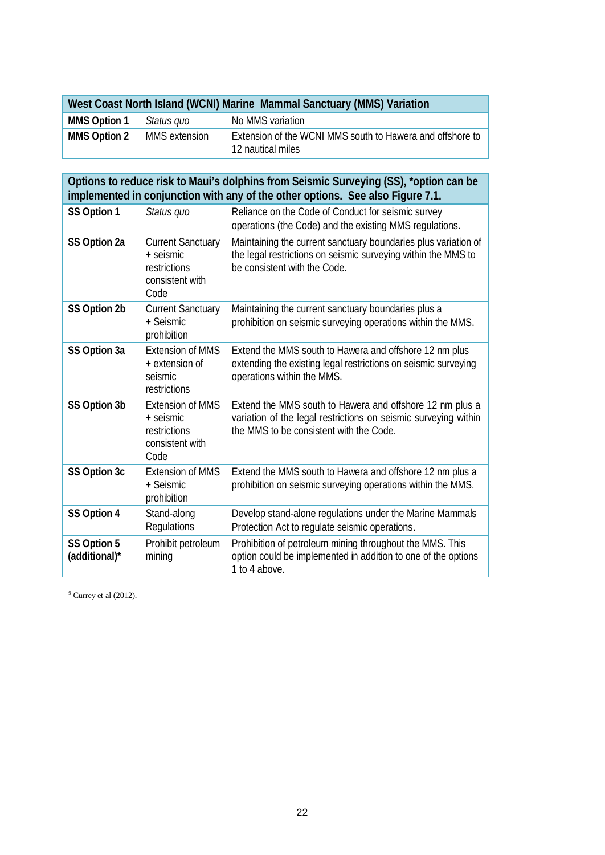| West Coast North Island (WCNI) Marine Mammal Sanctuary (MMS) Variation |  |
|------------------------------------------------------------------------|--|
|                                                                        |  |

| <b>MMS Option 1</b> | Status quo    | No MMS variation                                                               |
|---------------------|---------------|--------------------------------------------------------------------------------|
| <b>MMS Option 2</b> | MMS extension | Extension of the WCNI MMS south to Hawera and offshore to<br>12 nautical miles |

**Options to reduce risk to Maui's dolphins from Seismic Surveying (SS), \*option can be implemented in conjunction with any of the other options. See also Figure 7.1.**

| SS Option 1                  | Status quo                                                                       | Reliance on the Code of Conduct for seismic survey<br>operations (the Code) and the existing MMS regulations.                                                          |
|------------------------------|----------------------------------------------------------------------------------|------------------------------------------------------------------------------------------------------------------------------------------------------------------------|
| SS Option 2a                 | <b>Current Sanctuary</b><br>+ seismic<br>restrictions<br>consistent with<br>Code | Maintaining the current sanctuary boundaries plus variation of<br>the legal restrictions on seismic surveying within the MMS to<br>be consistent with the Code.        |
| SS Option 2b                 | <b>Current Sanctuary</b><br>+ Seismic<br>prohibition                             | Maintaining the current sanctuary boundaries plus a<br>prohibition on seismic surveying operations within the MMS.                                                     |
| SS Option 3a                 | <b>Extension of MMS</b><br>+ extension of<br>seismic<br>restrictions             | Extend the MMS south to Hawera and offshore 12 nm plus<br>extending the existing legal restrictions on seismic surveying<br>operations within the MMS.                 |
| SS Option 3b                 | <b>Extension of MMS</b><br>+ seismic<br>restrictions<br>consistent with<br>Code  | Extend the MMS south to Hawera and offshore 12 nm plus a<br>variation of the legal restrictions on seismic surveying within<br>the MMS to be consistent with the Code. |
| SS Option 3c                 | <b>Extension of MMS</b><br>+ Seismic<br>prohibition                              | Extend the MMS south to Hawera and offshore 12 nm plus a<br>prohibition on seismic surveying operations within the MMS.                                                |
| SS Option 4                  | Stand-along<br>Regulations                                                       | Develop stand-alone regulations under the Marine Mammals<br>Protection Act to regulate seismic operations.                                                             |
| SS Option 5<br>(additional)* | Prohibit petroleum<br>mining                                                     | Prohibition of petroleum mining throughout the MMS. This<br>option could be implemented in addition to one of the options<br>1 to 4 above.                             |

 $9$  Currey et al (2012).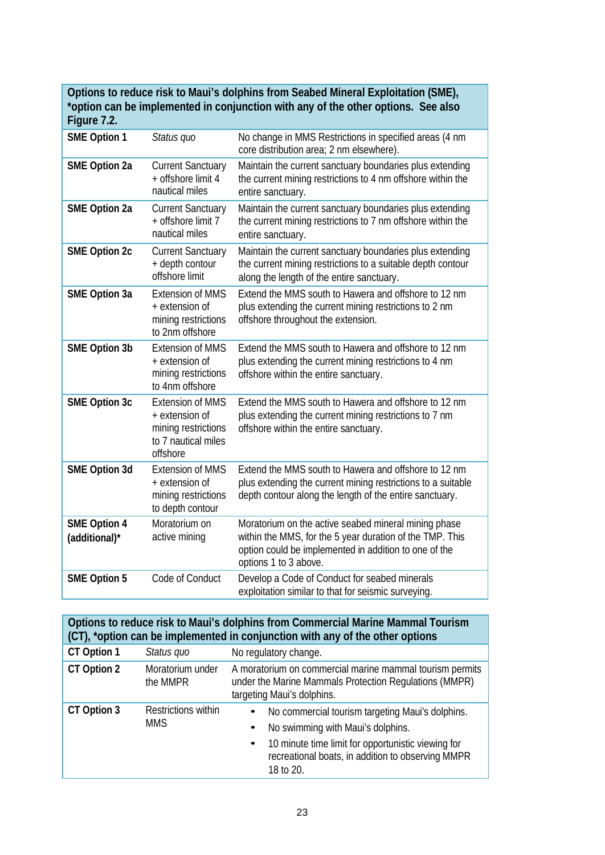## **Options to reduce risk to Maui's dolphins from Seabed Mineral Exploitation (SME), \*option can be implemented in conjunction with any of the other options. See also**

| Figure 7.2.                          |                                                                                                     |                                                                                                                                                                                                    |
|--------------------------------------|-----------------------------------------------------------------------------------------------------|----------------------------------------------------------------------------------------------------------------------------------------------------------------------------------------------------|
| <b>SME Option 1</b>                  | Status quo                                                                                          | No change in MMS Restrictions in specified areas (4 nm<br>core distribution area; 2 nm elsewhere).                                                                                                 |
| <b>SME Option 2a</b>                 | <b>Current Sanctuary</b><br>+ offshore limit 4<br>nautical miles                                    | Maintain the current sanctuary boundaries plus extending<br>the current mining restrictions to 4 nm offshore within the<br>entire sanctuary.                                                       |
| <b>SME Option 2a</b>                 | <b>Current Sanctuary</b><br>+ offshore limit 7<br>nautical miles                                    | Maintain the current sanctuary boundaries plus extending<br>the current mining restrictions to 7 nm offshore within the<br>entire sanctuary.                                                       |
| <b>SME Option 2c</b>                 | <b>Current Sanctuary</b><br>+ depth contour<br>offshore limit                                       | Maintain the current sanctuary boundaries plus extending<br>the current mining restrictions to a suitable depth contour<br>along the length of the entire sanctuary.                               |
| <b>SME Option 3a</b>                 | <b>Extension of MMS</b><br>+ extension of<br>mining restrictions<br>to 2nm offshore                 | Extend the MMS south to Hawera and offshore to 12 nm<br>plus extending the current mining restrictions to 2 nm<br>offshore throughout the extension.                                               |
| <b>SME Option 3b</b>                 | <b>Extension of MMS</b><br>+ extension of<br>mining restrictions<br>to 4nm offshore                 | Extend the MMS south to Hawera and offshore to 12 nm<br>plus extending the current mining restrictions to 4 nm<br>offshore within the entire sanctuary.                                            |
| <b>SME Option 3c</b>                 | <b>Extension of MMS</b><br>+ extension of<br>mining restrictions<br>to 7 nautical miles<br>offshore | Extend the MMS south to Hawera and offshore to 12 nm<br>plus extending the current mining restrictions to 7 nm<br>offshore within the entire sanctuary.                                            |
| <b>SME Option 3d</b>                 | <b>Extension of MMS</b><br>+ extension of<br>mining restrictions<br>to depth contour                | Extend the MMS south to Hawera and offshore to 12 nm<br>plus extending the current mining restrictions to a suitable<br>depth contour along the length of the entire sanctuary.                    |
| <b>SME Option 4</b><br>(additional)* | Moratorium on<br>active mining                                                                      | Moratorium on the active seabed mineral mining phase<br>within the MMS, for the 5 year duration of the TMP. This<br>option could be implemented in addition to one of the<br>options 1 to 3 above. |
| <b>SME Option 5</b>                  | Code of Conduct                                                                                     | Develop a Code of Conduct for seabed minerals<br>exploitation similar to that for seismic surveying.                                                                                               |

|             |                                          | Options to reduce risk to Maui's dolphins from Commercial Marine Mammal Tourism<br>(CT), *option can be implemented in conjunction with any of the other options                                                                                     |
|-------------|------------------------------------------|------------------------------------------------------------------------------------------------------------------------------------------------------------------------------------------------------------------------------------------------------|
| CT Option 1 | Status quo                               | No regulatory change.                                                                                                                                                                                                                                |
| CT Option 2 | Moratorium under<br>the MMPR             | A moratorium on commercial marine mammal tourism permits<br>under the Marine Mammals Protection Regulations (MMPR)<br>targeting Maui's dolphins.                                                                                                     |
| CT Option 3 | <b>Restrictions within</b><br><b>MMS</b> | No commercial tourism targeting Maui's dolphins.<br>$\bullet$<br>No swimming with Maui's dolphins.<br>$\bullet$<br>10 minute time limit for opportunistic viewing for<br>$\bullet$<br>recreational boats, in addition to observing MMPR<br>18 to 20. |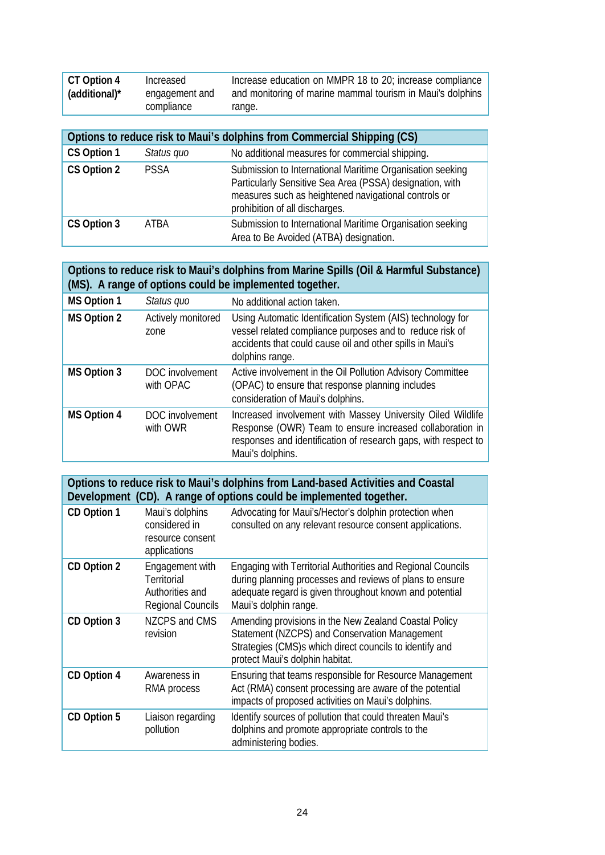| CT Option 4<br>(additional)* | Increased<br>engagement and<br>compliance | Increase education on MMPR 18 to 20; increase compliance<br>and monitoring of marine mammal tourism in Maui's dolphins<br>range.                                                                                |
|------------------------------|-------------------------------------------|-----------------------------------------------------------------------------------------------------------------------------------------------------------------------------------------------------------------|
|                              |                                           |                                                                                                                                                                                                                 |
|                              |                                           | Options to reduce risk to Maui's dolphins from Commercial Shipping (CS)                                                                                                                                         |
| CS Option 1                  | Status quo                                | No additional measures for commercial shipping.                                                                                                                                                                 |
| CS Option 2                  | <b>PSSA</b>                               | Submission to International Maritime Organisation seeking<br>Particularly Sensitive Sea Area (PSSA) designation, with<br>measures such as heightened navigational controls or<br>prohibition of all discharges. |
| CS Option 3                  | ATRA                                      | Submission to International Maritime Organisation seeking<br>Area to Be Avoided (ATBA) designation.                                                                                                             |

| Options to reduce risk to Maui's dolphins from Marine Spills (Oil & Harmful Substance) |
|----------------------------------------------------------------------------------------|
| (MS). A range of options could be implemented together.                                |

| <b>MS Option 1</b> | Status quo                   | No additional action taken.                                                                                                                                                                                   |  |
|--------------------|------------------------------|---------------------------------------------------------------------------------------------------------------------------------------------------------------------------------------------------------------|--|
| <b>MS Option 2</b> | Actively monitored<br>zone   | Using Automatic Identification System (AIS) technology for<br>vessel related compliance purposes and to reduce risk of<br>accidents that could cause oil and other spills in Maui's<br>dolphins range.        |  |
| <b>MS Option 3</b> | DOC involvement<br>with OPAC | Active involvement in the Oil Pollution Advisory Committee<br>(OPAC) to ensure that response planning includes<br>consideration of Maui's dolphins.                                                           |  |
| <b>MS Option 4</b> | DOC involvement<br>with OWR  | Increased involvement with Massey University Oiled Wildlife<br>Response (OWR) Team to ensure increased collaboration in<br>responses and identification of research gaps, with respect to<br>Maui's dolphins. |  |

**Options to reduce risk to Maui's dolphins from Land-based Activities and Coastal Development (CD). A range of options could be implemented together.**

| CD Option 1 | Maui's dolphins<br>considered in<br>resource consent<br>applications          | Advocating for Maui's/Hector's dolphin protection when<br>consulted on any relevant resource consent applications.                                                                                          |  |
|-------------|-------------------------------------------------------------------------------|-------------------------------------------------------------------------------------------------------------------------------------------------------------------------------------------------------------|--|
| CD Option 2 | Engagement with<br>Territorial<br>Authorities and<br><b>Regional Councils</b> | Engaging with Territorial Authorities and Regional Councils<br>during planning processes and reviews of plans to ensure<br>adequate regard is given throughout known and potential<br>Maui's dolphin range. |  |
| CD Option 3 | NZCPS and CMS<br>revision                                                     | Amending provisions in the New Zealand Coastal Policy<br>Statement (NZCPS) and Conservation Management<br>Strategies (CMS)s which direct councils to identify and<br>protect Maui's dolphin habitat.        |  |
| CD Option 4 | Awareness in<br>RMA process                                                   | Ensuring that teams responsible for Resource Management<br>Act (RMA) consent processing are aware of the potential<br>impacts of proposed activities on Maui's dolphins.                                    |  |
| CD Option 5 | Liaison regarding<br>pollution                                                | Identify sources of pollution that could threaten Maui's<br>dolphins and promote appropriate controls to the<br>administering bodies.                                                                       |  |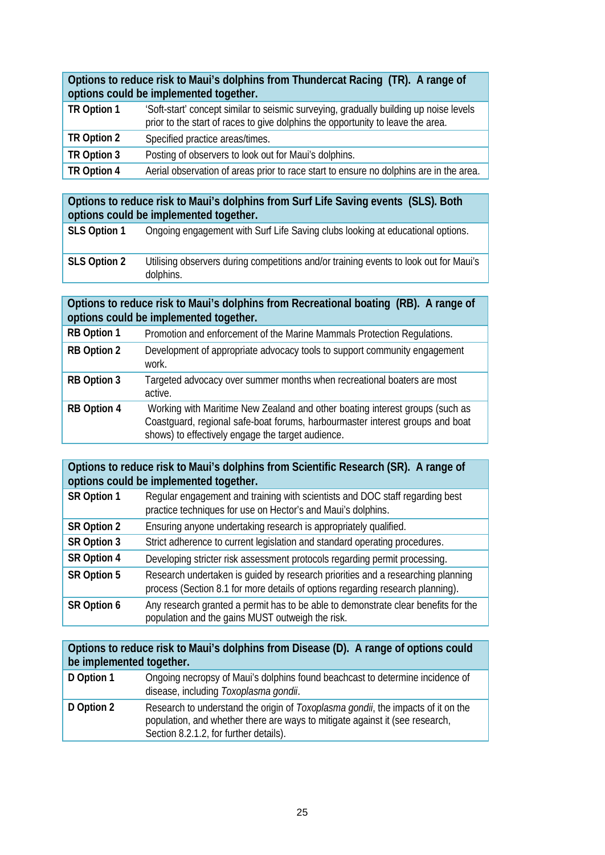**Options to reduce risk to Maui's dolphins from Thundercat Racing (TR). A range of options could be implemented together.**

| TR Option 1 | 'Soft-start' concept similar to seismic surveying, gradually building up noise levels<br>prior to the start of races to give dolphins the opportunity to leave the area. |
|-------------|--------------------------------------------------------------------------------------------------------------------------------------------------------------------------|
| TR Option 2 | Specified practice areas/times.                                                                                                                                          |
| TR Option 3 | Posting of observers to look out for Maui's dolphins.                                                                                                                    |
| TR Option 4 | Aerial observation of areas prior to race start to ensure no dolphins are in the area.                                                                                   |

## **Options to reduce risk to Maui's dolphins from Surf Life Saving events (SLS). Both options could be implemented together.**

| SLS Option 1 | Ongoing engagement with Surf Life Saving clubs looking at educational options.                     |
|--------------|----------------------------------------------------------------------------------------------------|
| SLS Option 2 | Utilising observers during competitions and/or training events to look out for Maui's<br>dolphins. |

#### **Options to reduce risk to Maui's dolphins from Recreational boating (RB). A range of options could be implemented together.**

| <b>RB Option 1</b> | Promotion and enforcement of the Marine Mammals Protection Regulations.                                                                                                                                            |
|--------------------|--------------------------------------------------------------------------------------------------------------------------------------------------------------------------------------------------------------------|
| RB Option 2        | Development of appropriate advocacy tools to support community engagement<br>work.                                                                                                                                 |
| RB Option 3        | Targeted advocacy over summer months when recreational boaters are most<br>active.                                                                                                                                 |
| <b>RB Option 4</b> | Working with Maritime New Zealand and other boating interest groups (such as<br>Coastguard, regional safe-boat forums, harbourmaster interest groups and boat<br>shows) to effectively engage the target audience. |

#### **Options to reduce risk to Maui's dolphins from Scientific Research (SR). A range of options could be implemented together.**

| SR Option 1 | Regular engagement and training with scientists and DOC staff regarding best<br>practice techniques for use on Hector's and Maui's dolphins.                      |
|-------------|-------------------------------------------------------------------------------------------------------------------------------------------------------------------|
| SR Option 2 | Ensuring anyone undertaking research is appropriately qualified.                                                                                                  |
| SR Option 3 | Strict adherence to current legislation and standard operating procedures.                                                                                        |
| SR Option 4 | Developing stricter risk assessment protocols regarding permit processing.                                                                                        |
| SR Option 5 | Research undertaken is quided by research priorities and a researching planning<br>process (Section 8.1 for more details of options regarding research planning). |
| SR Option 6 | Any research granted a permit has to be able to demonstrate clear benefits for the<br>population and the gains MUST outweigh the risk.                            |

## **Options to reduce risk to Maui's dolphins from Disease (D). A range of options could be implemented together.**

| D Option 1 | Ongoing necropsy of Maui's dolphins found beachcast to determine incidence of<br>disease, including Toxoplasma gondii.                                                                                     |
|------------|------------------------------------------------------------------------------------------------------------------------------------------------------------------------------------------------------------|
| D Option 2 | Research to understand the origin of Toxoplasma gondii, the impacts of it on the<br>population, and whether there are ways to mitigate against it (see research,<br>Section 8.2.1.2, for further details). |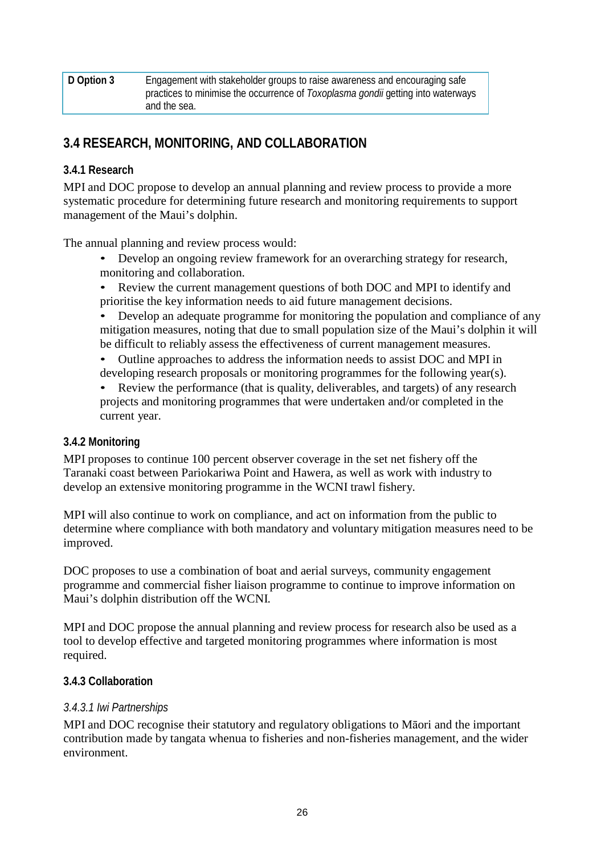| D Option 3 | Engagement with stakeholder groups to raise awareness and encouraging safe       |
|------------|----------------------------------------------------------------------------------|
|            | practices to minimise the occurrence of Toxoplasma gondii getting into waterways |
|            | and the sea.                                                                     |

## **3.4 RESEARCH, MONITORING, AND COLLABORATION**

## **3.4.1 Research**

MPI and DOC propose to develop an annual planning and review process to provide a more systematic procedure for determining future research and monitoring requirements to support management of the Maui's dolphin.

The annual planning and review process would:

- Develop an ongoing review framework for an overarching strategy for research, monitoring and collaboration.
- Review the current management questions of both DOC and MPI to identify and prioritise the key information needs to aid future management decisions.

• Develop an adequate programme for monitoring the population and compliance of any mitigation measures, noting that due to small population size of the Maui's dolphin it will be difficult to reliably assess the effectiveness of current management measures.

- Outline approaches to address the information needs to assist DOC and MPI in developing research proposals or monitoring programmes for the following year(s).
- Review the performance (that is quality, deliverables, and targets) of any research projects and monitoring programmes that were undertaken and/or completed in the current year.

## **3.4.2 Monitoring**

MPI proposes to continue 100 percent observer coverage in the set net fishery off the Taranaki coast between Pariokariwa Point and Hawera, as well as work with industry to develop an extensive monitoring programme in the WCNI trawl fishery.

MPI will also continue to work on compliance, and act on information from the public to determine where compliance with both mandatory and voluntary mitigation measures need to be improved.

DOC proposes to use a combination of boat and aerial surveys, community engagement programme and commercial fisher liaison programme to continue to improve information on Maui's dolphin distribution off the WCNI.

MPI and DOC propose the annual planning and review process for research also be used as a tool to develop effective and targeted monitoring programmes where information is most required.

#### **3.4.3 Collaboration**

#### *3.4.3.1 Iwi Partnerships*

MPI and DOC recognise their statutory and regulatory obligations to Māori and the important contribution made by tangata whenua to fisheries and non-fisheries management, and the wider environment.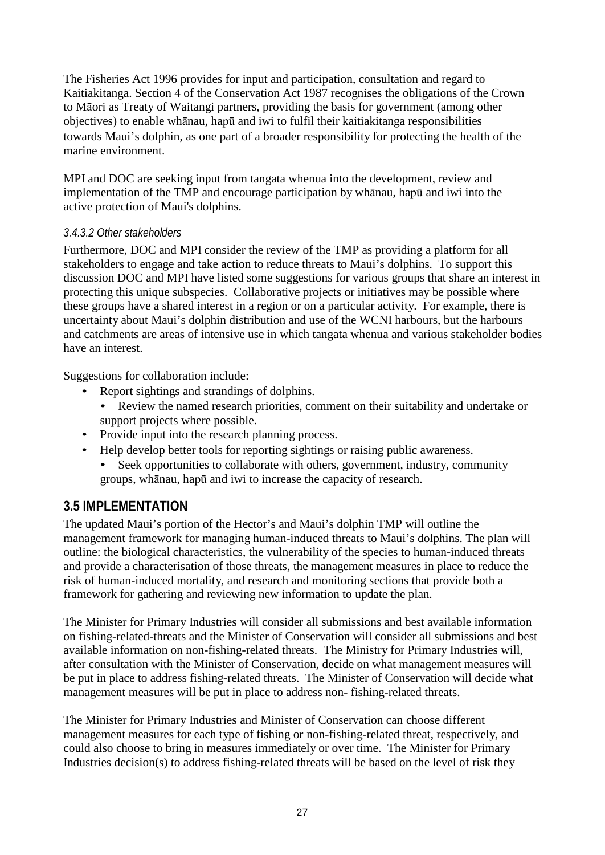The Fisheries Act 1996 provides for input and participation, consultation and regard to Kaitiakitanga. Section 4 of the Conservation Act 1987 recognises the obligations of the Crown to Māori as Treaty of Waitangi partners, providing the basis for government (among other objectives) to enable whānau, hapū and iwi to fulfil their kaitiakitanga responsibilities towards Maui's dolphin, as one part of a broader responsibility for protecting the health of the marine environment.

MPI and DOC are seeking input from tangata whenua into the development, review and implementation of the TMP and encourage participation by whānau, hapū and iwi into the active protection of Maui's dolphins.

## *3.4.3.2 Other stakeholders*

Furthermore, DOC and MPI consider the review of the TMP as providing a platform for all stakeholders to engage and take action to reduce threats to Maui's dolphins. To support this discussion DOC and MPI have listed some suggestions for various groups that share an interest in protecting this unique subspecies. Collaborative projects or initiatives may be possible where these groups have a shared interest in a region or on a particular activity. For example, there is uncertainty about Maui's dolphin distribution and use of the WCNI harbours, but the harbours and catchments are areas of intensive use in which tangata whenua and various stakeholder bodies have an interest.

Suggestions for collaboration include:

- Report sightings and strandings of dolphins.
	- Review the named research priorities, comment on their suitability and undertake or support projects where possible.
- Provide input into the research planning process.
- Help develop better tools for reporting sightings or raising public awareness.
	- Seek opportunities to collaborate with others, government, industry, community groups, whānau, hapū and iwi to increase the capacity of research.

## **3.5 IMPLEMENTATION**

The updated Maui's portion of the Hector's and Maui's dolphin TMP will outline the management framework for managing human-induced threats to Maui's dolphins. The plan will outline: the biological characteristics, the vulnerability of the species to human-induced threats and provide a characterisation of those threats, the management measures in place to reduce the risk of human-induced mortality, and research and monitoring sections that provide both a framework for gathering and reviewing new information to update the plan.

The Minister for Primary Industries will consider all submissions and best available information on fishing-related-threats and the Minister of Conservation will consider all submissions and best available information on non-fishing-related threats. The Ministry for Primary Industries will, after consultation with the Minister of Conservation, decide on what management measures will be put in place to address fishing-related threats. The Minister of Conservation will decide what management measures will be put in place to address non- fishing-related threats.

The Minister for Primary Industries and Minister of Conservation can choose different management measures for each type of fishing or non-fishing-related threat, respectively, and could also choose to bring in measures immediately or over time. The Minister for Primary Industries decision(s) to address fishing-related threats will be based on the level of risk they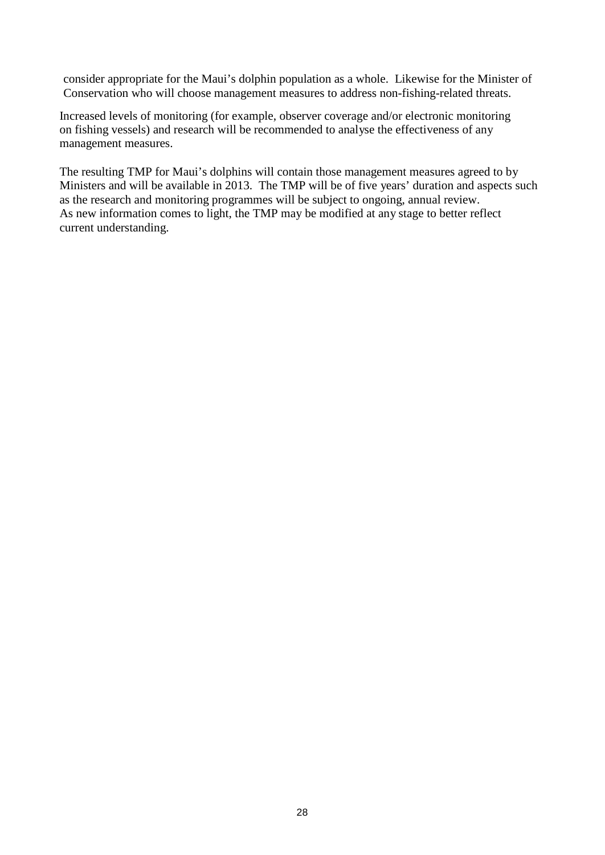consider appropriate for the Maui's dolphin population as a whole. Likewise for the Minister of Conservation who will choose management measures to address non-fishing-related threats.

Increased levels of monitoring (for example, observer coverage and/or electronic monitoring on fishing vessels) and research will be recommended to analyse the effectiveness of any management measures.

The resulting TMP for Maui's dolphins will contain those management measures agreed to by Ministers and will be available in 2013. The TMP will be of five years' duration and aspects such as the research and monitoring programmes will be subject to ongoing, annual review. As new information comes to light, the TMP may be modified at any stage to better reflect current understanding.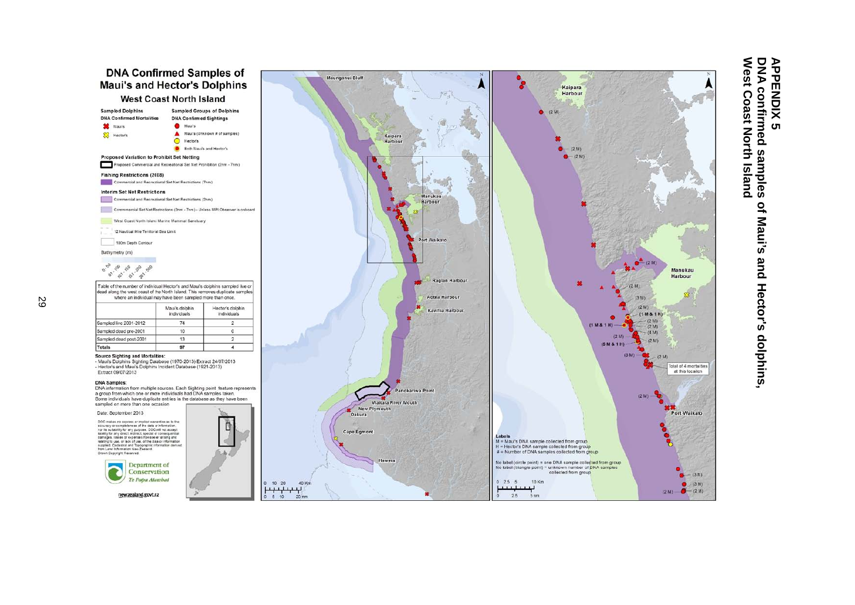

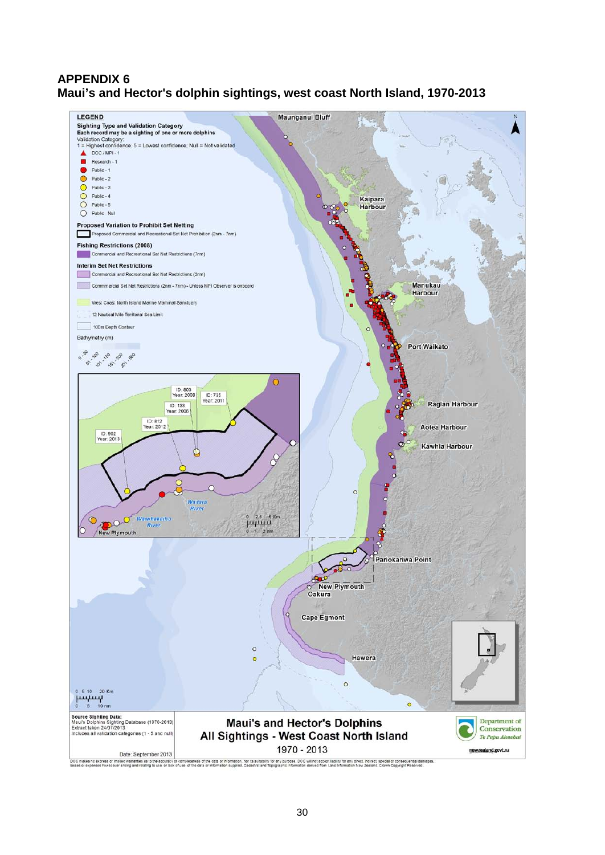## **APPENDIX 6 Maui's and Hector's dolphin sightings, west coast North Island, 1970-2013**

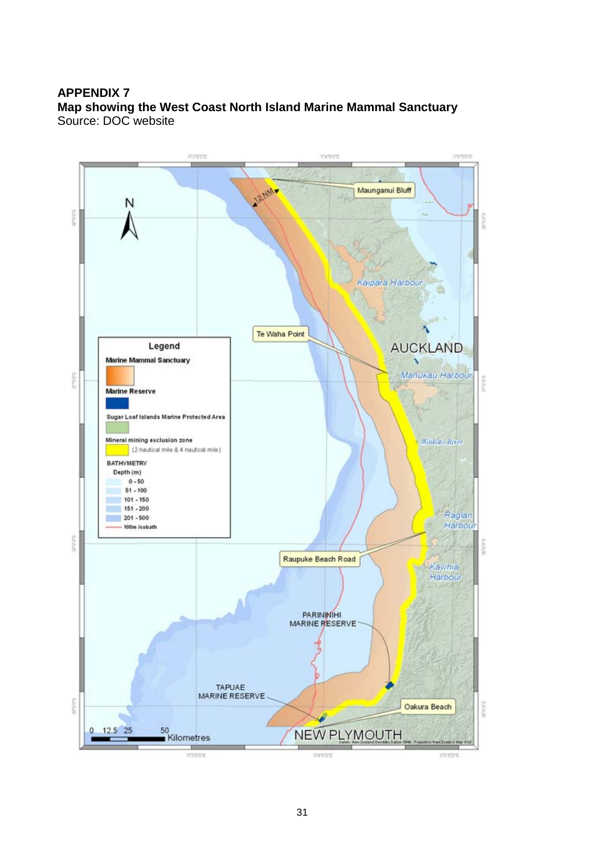#### **APPENDIX 7 Map showing the West Coast North Island Marine Mammal Sanctuary** Source: DOC website

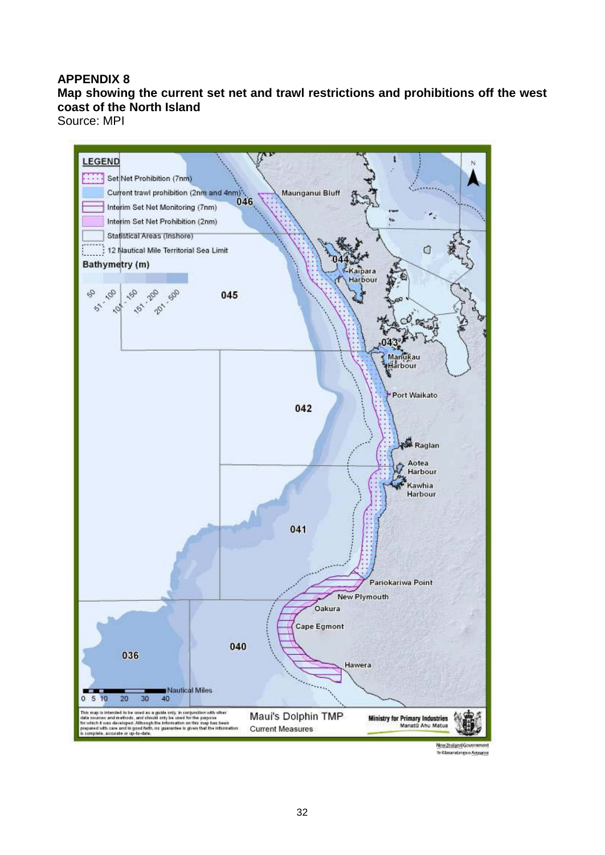#### **APPENDIX 8**

## **Map showing the current set net and trawl restrictions and prohibitions off the west coast of the North Island**

Source: MPI



Te Kilasanatangan Antarana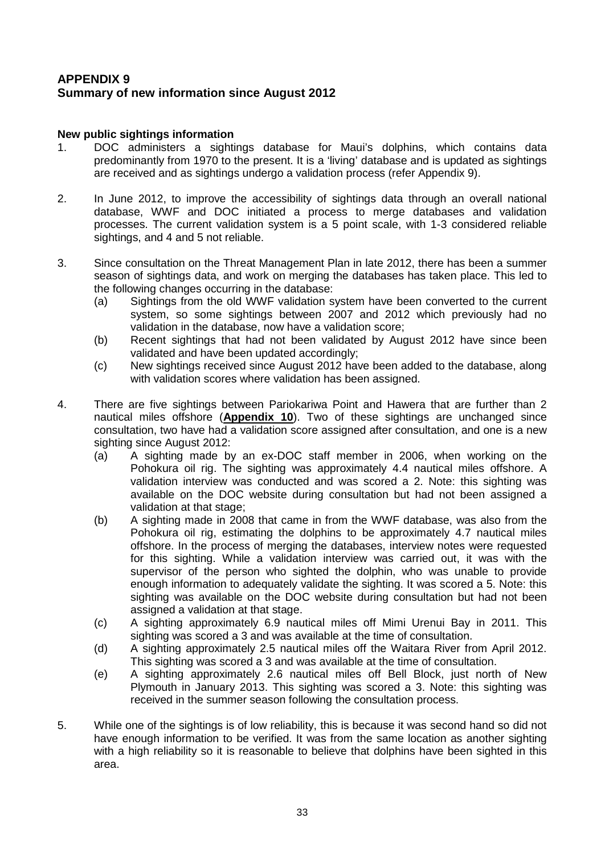## **APPENDIX 9 Summary of new information since August 2012**

#### **New public sightings information**

- 1. DOC administers a sightings database for Maui's dolphins, which contains data predominantly from 1970 to the present. It is a 'living' database and is updated as sightings are received and as sightings undergo a validation process (refer Appendix 9).
- 2. In June 2012, to improve the accessibility of sightings data through an overall national database, WWF and DOC initiated a process to merge databases and validation processes. The current validation system is a 5 point scale, with 1-3 considered reliable sightings, and 4 and 5 not reliable.
- 3. Since consultation on the Threat Management Plan in late 2012, there has been a summer season of sightings data, and work on merging the databases has taken place. This led to the following changes occurring in the database:
	- (a) Sightings from the old WWF validation system have been converted to the current system, so some sightings between 2007 and 2012 which previously had no validation in the database, now have a validation score;
	- (b) Recent sightings that had not been validated by August 2012 have since been validated and have been updated accordingly;
	- (c) New sightings received since August 2012 have been added to the database, along with validation scores where validation has been assigned.
- 4. There are five sightings between Pariokariwa Point and Hawera that are further than 2 nautical miles offshore (**Appendix 10**). Two of these sightings are unchanged since consultation, two have had a validation score assigned after consultation, and one is a new sighting since August 2012:
	- (a) A sighting made by an ex-DOC staff member in 2006, when working on the Pohokura oil rig. The sighting was approximately 4.4 nautical miles offshore. A validation interview was conducted and was scored a 2. Note: this sighting was available on the DOC website during consultation but had not been assigned a validation at that stage;
	- (b) A sighting made in 2008 that came in from the WWF database, was also from the Pohokura oil rig, estimating the dolphins to be approximately 4.7 nautical miles offshore. In the process of merging the databases, interview notes were requested for this sighting. While a validation interview was carried out, it was with the supervisor of the person who sighted the dolphin, who was unable to provide enough information to adequately validate the sighting. It was scored a 5. Note: this sighting was available on the DOC website during consultation but had not been assigned a validation at that stage.
	- (c) A sighting approximately 6.9 nautical miles off Mimi Urenui Bay in 2011. This sighting was scored a 3 and was available at the time of consultation.
	- (d) A sighting approximately 2.5 nautical miles off the Waitara River from April 2012. This sighting was scored a 3 and was available at the time of consultation.
	- (e) A sighting approximately 2.6 nautical miles off Bell Block, just north of New Plymouth in January 2013. This sighting was scored a 3. Note: this sighting was received in the summer season following the consultation process.
- 5. While one of the sightings is of low reliability, this is because it was second hand so did not have enough information to be verified. It was from the same location as another sighting with a high reliability so it is reasonable to believe that dolphins have been sighted in this area.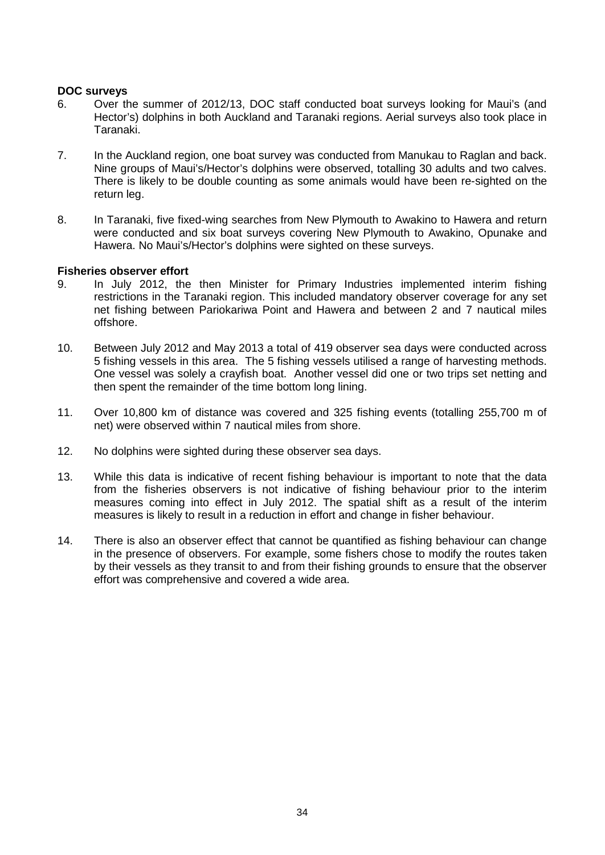#### **DOC surveys**

- 6. Over the summer of 2012/13, DOC staff conducted boat surveys looking for Maui's (and Hector's) dolphins in both Auckland and Taranaki regions. Aerial surveys also took place in Taranaki.
- 7. In the Auckland region, one boat survey was conducted from Manukau to Raglan and back. Nine groups of Maui's/Hector's dolphins were observed, totalling 30 adults and two calves. There is likely to be double counting as some animals would have been re-sighted on the return leg.
- 8. In Taranaki, five fixed-wing searches from New Plymouth to Awakino to Hawera and return were conducted and six boat surveys covering New Plymouth to Awakino, Opunake and Hawera. No Maui's/Hector's dolphins were sighted on these surveys.

#### **Fisheries observer effort**

- 9. In July 2012, the then Minister for Primary Industries implemented interim fishing restrictions in the Taranaki region. This included mandatory observer coverage for any set net fishing between Pariokariwa Point and Hawera and between 2 and 7 nautical miles offshore.
- 10. Between July 2012 and May 2013 a total of 419 observer sea days were conducted across 5 fishing vessels in this area. The 5 fishing vessels utilised a range of harvesting methods. One vessel was solely a crayfish boat. Another vessel did one or two trips set netting and then spent the remainder of the time bottom long lining.
- 11. Over 10,800 km of distance was covered and 325 fishing events (totalling 255,700 m of net) were observed within 7 nautical miles from shore.
- 12. No dolphins were sighted during these observer sea days.
- 13. While this data is indicative of recent fishing behaviour is important to note that the data from the fisheries observers is not indicative of fishing behaviour prior to the interim measures coming into effect in July 2012. The spatial shift as a result of the interim measures is likely to result in a reduction in effort and change in fisher behaviour.
- 14. There is also an observer effect that cannot be quantified as fishing behaviour can change in the presence of observers. For example, some fishers chose to modify the routes taken by their vessels as they transit to and from their fishing grounds to ensure that the observer effort was comprehensive and covered a wide area.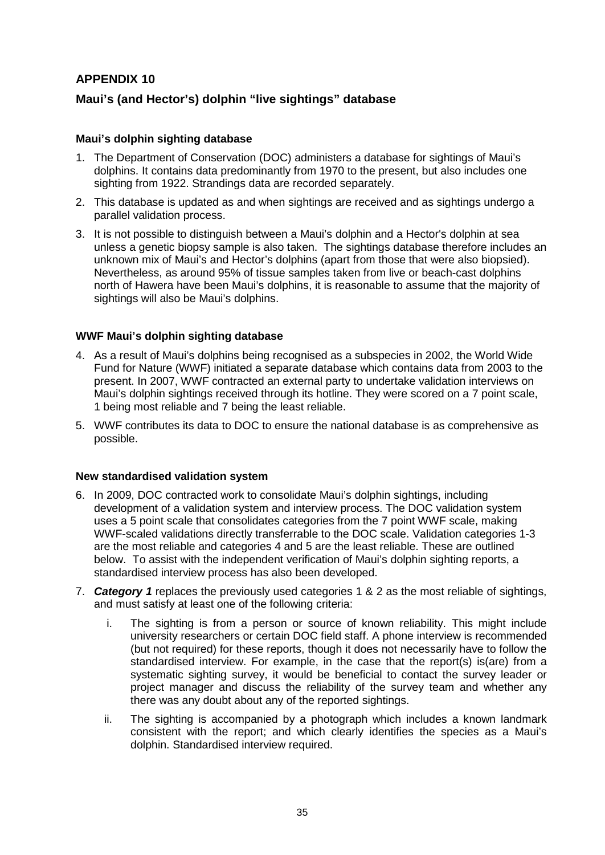## **APPENDIX 10**

### **Maui's (and Hector's) dolphin "live sightings" database**

#### **Maui's dolphin sighting database**

- 1. The Department of Conservation (DOC) administers a database for sightings of Maui's dolphins. It contains data predominantly from 1970 to the present, but also includes one sighting from 1922. Strandings data are recorded separately.
- 2. This database is updated as and when sightings are received and as sightings undergo a parallel validation process.
- 3. It is not possible to distinguish between a Maui's dolphin and a Hector's dolphin at sea unless a genetic biopsy sample is also taken. The sightings database therefore includes an unknown mix of Maui's and Hector's dolphins (apart from those that were also biopsied). Nevertheless, as around 95% of tissue samples taken from live or beach-cast dolphins north of Hawera have been Maui's dolphins, it is reasonable to assume that the majority of sightings will also be Maui's dolphins.

#### **WWF Maui's dolphin sighting database**

- 4. As a result of Maui's dolphins being recognised as a subspecies in 2002, the World Wide Fund for Nature (WWF) initiated a separate database which contains data from 2003 to the present. In 2007, WWF contracted an external party to undertake validation interviews on Maui's dolphin sightings received through its hotline. They were scored on a 7 point scale, 1 being most reliable and 7 being the least reliable.
- 5. WWF contributes its data to DOC to ensure the national database is as comprehensive as possible.

#### **New standardised validation system**

- 6. In 2009, DOC contracted work to consolidate Maui's dolphin sightings, including development of a validation system and interview process. The DOC validation system uses a 5 point scale that consolidates categories from the 7 point WWF scale, making WWF-scaled validations directly transferrable to the DOC scale. Validation categories 1-3 are the most reliable and categories 4 and 5 are the least reliable. These are outlined below. To assist with the independent verification of Maui's dolphin sighting reports, a standardised interview process has also been developed.
- 7. *Category 1* replaces the previously used categories 1 & 2 as the most reliable of sightings, and must satisfy at least one of the following criteria:
	- i. The sighting is from a person or source of known reliability. This might include university researchers or certain DOC field staff. A phone interview is recommended (but not required) for these reports, though it does not necessarily have to follow the standardised interview. For example, in the case that the report(s) is(are) from a systematic sighting survey, it would be beneficial to contact the survey leader or project manager and discuss the reliability of the survey team and whether any there was any doubt about any of the reported sightings.
	- ii. The sighting is accompanied by a photograph which includes a known landmark consistent with the report; and which clearly identifies the species as a Maui's dolphin. Standardised interview required.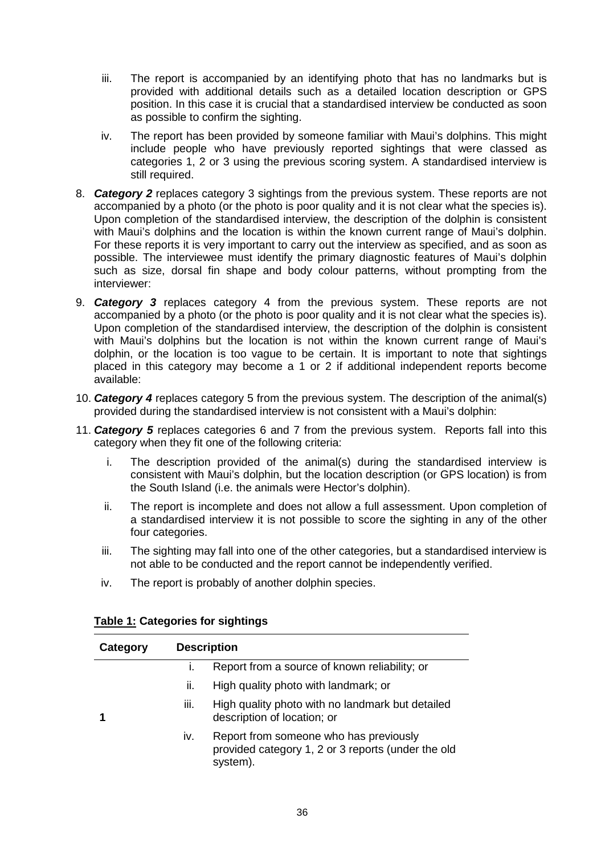- iii. The report is accompanied by an identifying photo that has no landmarks but is provided with additional details such as a detailed location description or GPS position. In this case it is crucial that a standardised interview be conducted as soon as possible to confirm the sighting.
- iv. The report has been provided by someone familiar with Maui's dolphins. This might include people who have previously reported sightings that were classed as categories 1, 2 or 3 using the previous scoring system. A standardised interview is still required.
- 8. *Category 2* replaces category 3 sightings from the previous system. These reports are not accompanied by a photo (or the photo is poor quality and it is not clear what the species is). Upon completion of the standardised interview, the description of the dolphin is consistent with Maui's dolphins and the location is within the known current range of Maui's dolphin. For these reports it is very important to carry out the interview as specified, and as soon as possible. The interviewee must identify the primary diagnostic features of Maui's dolphin such as size, dorsal fin shape and body colour patterns, without prompting from the interviewer:
- 9. *Category 3* replaces category 4 from the previous system. These reports are not accompanied by a photo (or the photo is poor quality and it is not clear what the species is). Upon completion of the standardised interview, the description of the dolphin is consistent with Maui's dolphins but the location is not within the known current range of Maui's dolphin, or the location is too vague to be certain. It is important to note that sightings placed in this category may become a 1 or 2 if additional independent reports become available:
- 10. *Category 4* replaces category 5 from the previous system. The description of the animal(s) provided during the standardised interview is not consistent with a Maui's dolphin:
- 11. *Category 5* replaces categories 6 and 7 from the previous system. Reports fall into this category when they fit one of the following criteria:
	- i. The description provided of the animal(s) during the standardised interview is consistent with Maui's dolphin, but the location description (or GPS location) is from the South Island (i.e. the animals were Hector's dolphin).
	- ii. The report is incomplete and does not allow a full assessment. Upon completion of a standardised interview it is not possible to score the sighting in any of the other four categories.
	- iii. The sighting may fall into one of the other categories, but a standardised interview is not able to be conducted and the report cannot be independently verified.
	- iv. The report is probably of another dolphin species.

| Category | <b>Description</b> |                                                                                                          |
|----------|--------------------|----------------------------------------------------------------------------------------------------------|
|          | İ.                 | Report from a source of known reliability; or                                                            |
|          | II.                | High quality photo with landmark; or                                                                     |
|          | iii.               | High quality photo with no landmark but detailed<br>description of location; or                          |
|          | İV.                | Report from someone who has previously<br>provided category 1, 2 or 3 reports (under the old<br>system). |

#### **Table 1: Categories for sightings**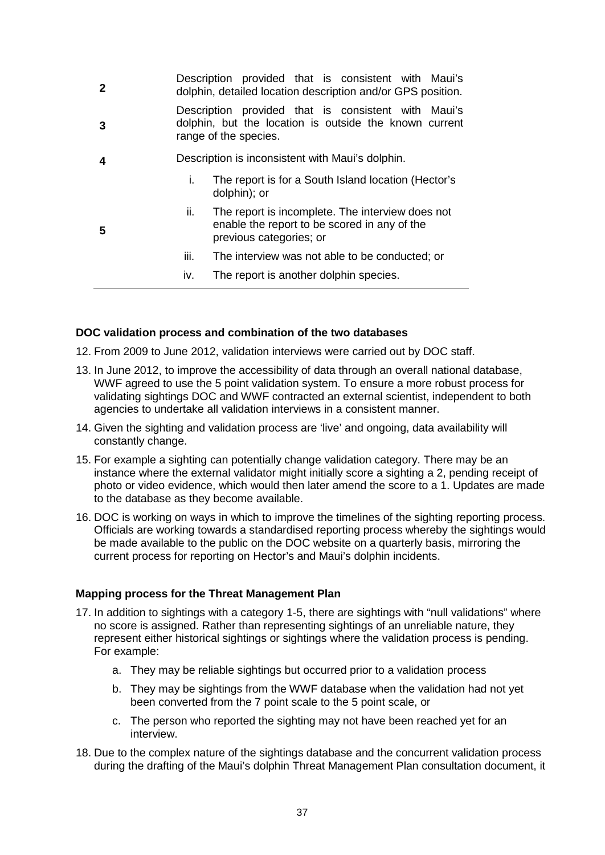| $\mathbf{2}$ | Description provided that is consistent with Maui's<br>dolphin, detailed location description and/or GPS position.                     |  |
|--------------|----------------------------------------------------------------------------------------------------------------------------------------|--|
| 3            | Description provided that is consistent with Maui's<br>dolphin, but the location is outside the known current<br>range of the species. |  |
| 4            | Description is inconsistent with Maui's dolphin.                                                                                       |  |
|              | The report is for a South Island location (Hector's<br>L.<br>dolphin); or                                                              |  |
| 5            | The report is incomplete. The interview does not<br>II.<br>enable the report to be scored in any of the<br>previous categories; or     |  |
|              | iii.<br>The interview was not able to be conducted; or                                                                                 |  |
|              | The report is another dolphin species.<br>IV.                                                                                          |  |

#### **DOC validation process and combination of the two databases**

12. From 2009 to June 2012, validation interviews were carried out by DOC staff.

- 13. In June 2012, to improve the accessibility of data through an overall national database, WWF agreed to use the 5 point validation system. To ensure a more robust process for validating sightings DOC and WWF contracted an external scientist, independent to both agencies to undertake all validation interviews in a consistent manner.
- 14. Given the sighting and validation process are 'live' and ongoing, data availability will constantly change.
- 15. For example a sighting can potentially change validation category. There may be an instance where the external validator might initially score a sighting a 2, pending receipt of photo or video evidence, which would then later amend the score to a 1. Updates are made to the database as they become available.
- 16. DOC is working on ways in which to improve the timelines of the sighting reporting process. Officials are working towards a standardised reporting process whereby the sightings would be made available to the public on the DOC website on a quarterly basis, mirroring the current process for reporting on Hector's and Maui's dolphin incidents.

#### **Mapping process for the Threat Management Plan**

- 17. In addition to sightings with a category 1-5, there are sightings with "null validations" where no score is assigned. Rather than representing sightings of an unreliable nature, they represent either historical sightings or sightings where the validation process is pending. For example:
	- a. They may be reliable sightings but occurred prior to a validation process
	- b. They may be sightings from the WWF database when the validation had not yet been converted from the 7 point scale to the 5 point scale, or
	- c. The person who reported the sighting may not have been reached yet for an interview.
- 18. Due to the complex nature of the sightings database and the concurrent validation process during the drafting of the Maui's dolphin Threat Management Plan consultation document, it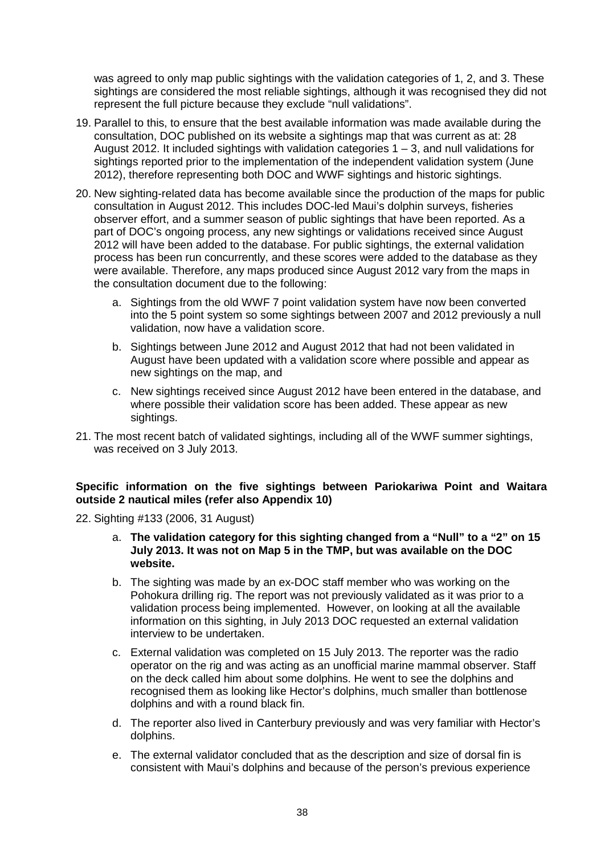was agreed to only map public sightings with the validation categories of 1, 2, and 3. These sightings are considered the most reliable sightings, although it was recognised they did not represent the full picture because they exclude "null validations".

- 19. Parallel to this, to ensure that the best available information was made available during the consultation, DOC published on its website a sightings map that was current as at: 28 August 2012. It included sightings with validation categories  $1 - 3$ , and null validations for sightings reported prior to the implementation of the independent validation system (June 2012), therefore representing both DOC and WWF sightings and historic sightings.
- 20. New sighting-related data has become available since the production of the maps for public consultation in August 2012. This includes DOC-led Maui's dolphin surveys, fisheries observer effort, and a summer season of public sightings that have been reported. As a part of DOC's ongoing process, any new sightings or validations received since August 2012 will have been added to the database. For public sightings, the external validation process has been run concurrently, and these scores were added to the database as they were available. Therefore, any maps produced since August 2012 vary from the maps in the consultation document due to the following:
	- a. Sightings from the old WWF 7 point validation system have now been converted into the 5 point system so some sightings between 2007 and 2012 previously a null validation, now have a validation score.
	- b. Sightings between June 2012 and August 2012 that had not been validated in August have been updated with a validation score where possible and appear as new sightings on the map, and
	- c. New sightings received since August 2012 have been entered in the database, and where possible their validation score has been added. These appear as new sightings.
- 21. The most recent batch of validated sightings, including all of the WWF summer sightings, was received on 3 July 2013.

#### **Specific information on the five sightings between Pariokariwa Point and Waitara outside 2 nautical miles (refer also Appendix 10)**

- 22. Sighting #133 (2006, 31 August)
	- a. **The validation category for this sighting changed from a "Null" to a "2" on 15 July 2013. It was not on Map 5 in the TMP, but was available on the DOC website.**
	- b. The sighting was made by an ex-DOC staff member who was working on the Pohokura drilling rig. The report was not previously validated as it was prior to a validation process being implemented. However, on looking at all the available information on this sighting, in July 2013 DOC requested an external validation interview to be undertaken.
	- c. External validation was completed on 15 July 2013. The reporter was the radio operator on the rig and was acting as an unofficial marine mammal observer. Staff on the deck called him about some dolphins. He went to see the dolphins and recognised them as looking like Hector's dolphins, much smaller than bottlenose dolphins and with a round black fin.
	- d. The reporter also lived in Canterbury previously and was very familiar with Hector's dolphins.
	- e. The external validator concluded that as the description and size of dorsal fin is consistent with Maui's dolphins and because of the person's previous experience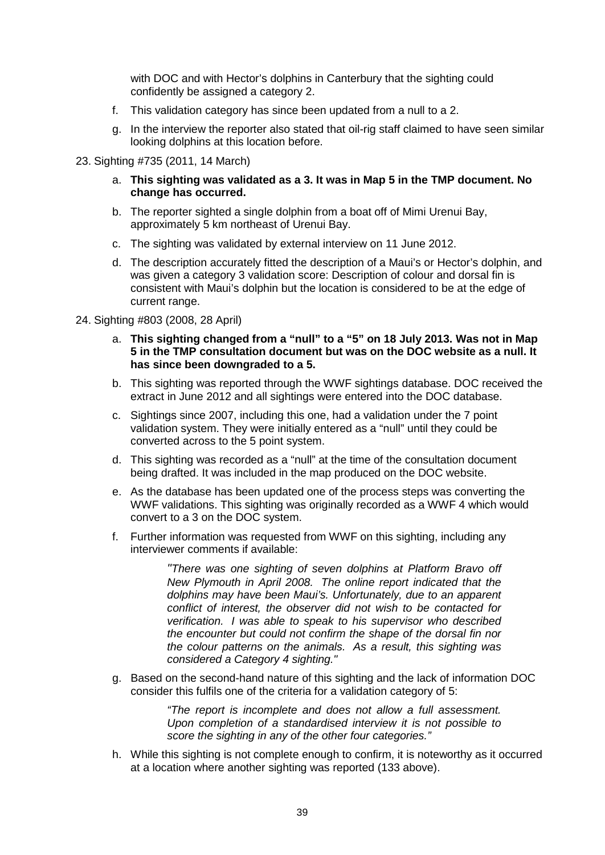with DOC and with Hector's dolphins in Canterbury that the sighting could confidently be assigned a category 2.

- f. This validation category has since been updated from a null to a 2.
- g. In the interview the reporter also stated that oil-rig staff claimed to have seen similar looking dolphins at this location before.
- 23. Sighting #735 (2011, 14 March)
	- a. **This sighting was validated as a 3. It was in Map 5 in the TMP document. No change has occurred.**
	- b. The reporter sighted a single dolphin from a boat off of Mimi Urenui Bay, approximately 5 km northeast of Urenui Bay.
	- c. The sighting was validated by external interview on 11 June 2012.
	- d. The description accurately fitted the description of a Maui's or Hector's dolphin, and was given a category 3 validation score: Description of colour and dorsal fin is consistent with Maui's dolphin but the location is considered to be at the edge of current range.
- 24. Sighting #803 (2008, 28 April)
	- a. **This sighting changed from a "null" to a "5" on 18 July 2013. Was not in Map 5 in the TMP consultation document but was on the DOC website as a null. It has since been downgraded to a 5.**
	- b. This sighting was reported through the WWF sightings database. DOC received the extract in June 2012 and all sightings were entered into the DOC database.
	- c. Sightings since 2007, including this one, had a validation under the 7 point validation system. They were initially entered as a "null" until they could be converted across to the 5 point system.
	- d. This sighting was recorded as a "null" at the time of the consultation document being drafted. It was included in the map produced on the DOC website.
	- e. As the database has been updated one of the process steps was converting the WWF validations. This sighting was originally recorded as a WWF 4 which would convert to a 3 on the DOC system.
	- f. Further information was requested from WWF on this sighting, including any interviewer comments if available:

*"There was one sighting of seven dolphins at Platform Bravo off New Plymouth in April 2008. The online report indicated that the dolphins may have been Maui's. Unfortunately, due to an apparent conflict of interest, the observer did not wish to be contacted for verification. I was able to speak to his supervisor who described the encounter but could not confirm the shape of the dorsal fin nor the colour patterns on the animals. As a result, this sighting was considered a Category 4 sighting."*

g. Based on the second-hand nature of this sighting and the lack of information DOC consider this fulfils one of the criteria for a validation category of 5:

> *"The report is incomplete and does not allow a full assessment. Upon completion of a standardised interview it is not possible to score the sighting in any of the other four categories."*

h. While this sighting is not complete enough to confirm, it is noteworthy as it occurred at a location where another sighting was reported (133 above).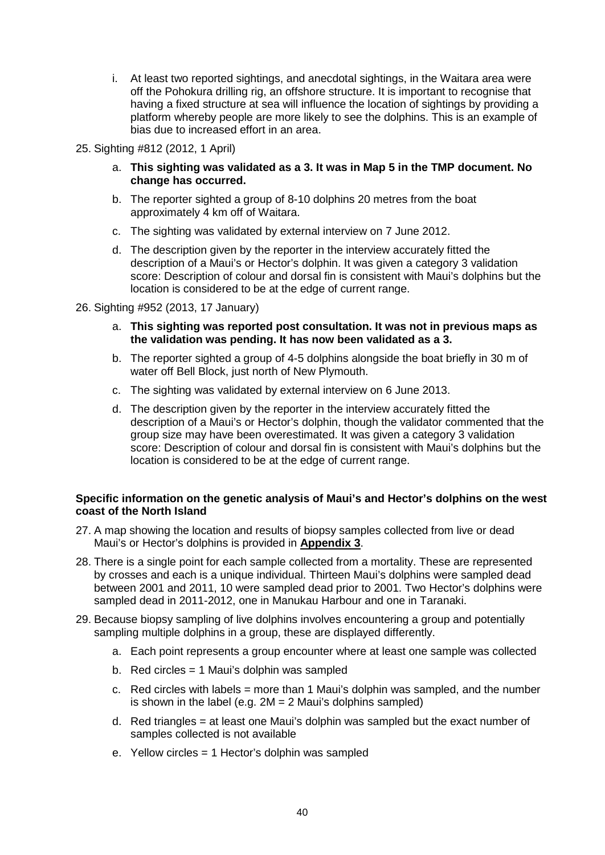- i. At least two reported sightings, and anecdotal sightings, in the Waitara area were off the Pohokura drilling rig, an offshore structure. It is important to recognise that having a fixed structure at sea will influence the location of sightings by providing a platform whereby people are more likely to see the dolphins. This is an example of bias due to increased effort in an area.
- 25. Sighting #812 (2012, 1 April)
	- a. **This sighting was validated as a 3. It was in Map 5 in the TMP document. No change has occurred.**
	- b. The reporter sighted a group of 8-10 dolphins 20 metres from the boat approximately 4 km off of Waitara.
	- c. The sighting was validated by external interview on 7 June 2012.
	- d. The description given by the reporter in the interview accurately fitted the description of a Maui's or Hector's dolphin. It was given a category 3 validation score: Description of colour and dorsal fin is consistent with Maui's dolphins but the location is considered to be at the edge of current range.
- 26. Sighting #952 (2013, 17 January)
	- a. **This sighting was reported post consultation. It was not in previous maps as the validation was pending. It has now been validated as a 3.**
	- b. The reporter sighted a group of 4-5 dolphins alongside the boat briefly in 30 m of water off Bell Block, just north of New Plymouth.
	- c. The sighting was validated by external interview on 6 June 2013.
	- d. The description given by the reporter in the interview accurately fitted the description of a Maui's or Hector's dolphin, though the validator commented that the group size may have been overestimated. It was given a category 3 validation score: Description of colour and dorsal fin is consistent with Maui's dolphins but the location is considered to be at the edge of current range.

#### **Specific information on the genetic analysis of Maui's and Hector's dolphins on the west coast of the North Island**

- 27. A map showing the location and results of biopsy samples collected from live or dead Maui's or Hector's dolphins is provided in **Appendix 3**.
- 28. There is a single point for each sample collected from a mortality. These are represented by crosses and each is a unique individual. Thirteen Maui's dolphins were sampled dead between 2001 and 2011, 10 were sampled dead prior to 2001. Two Hector's dolphins were sampled dead in 2011-2012, one in Manukau Harbour and one in Taranaki.
- 29. Because biopsy sampling of live dolphins involves encountering a group and potentially sampling multiple dolphins in a group, these are displayed differently.
	- a. Each point represents a group encounter where at least one sample was collected
	- b. Red circles = 1 Maui's dolphin was sampled
	- c. Red circles with labels = more than 1 Maui's dolphin was sampled, and the number is shown in the label (e.g.  $2M = 2$  Maui's dolphins sampled)
	- d. Red triangles = at least one Maui's dolphin was sampled but the exact number of samples collected is not available
	- e. Yellow circles = 1 Hector's dolphin was sampled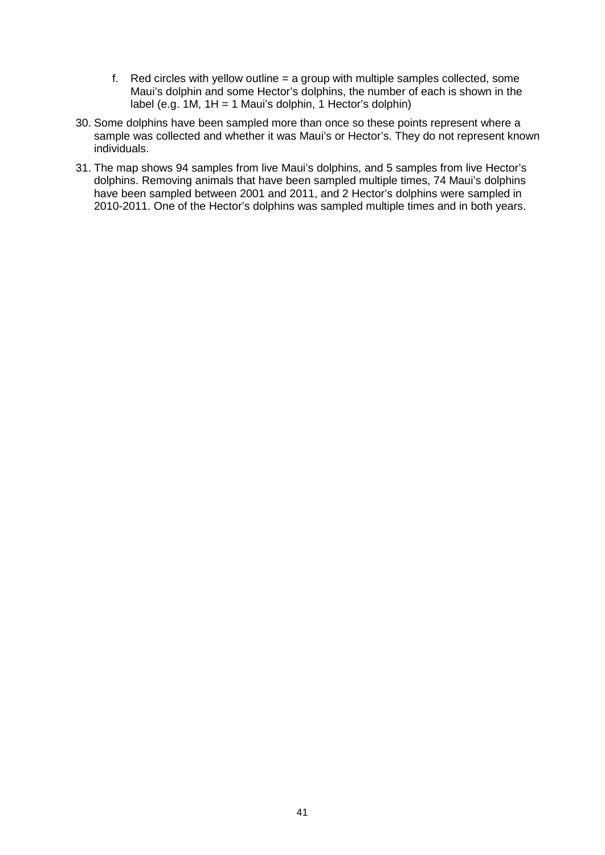- f. Red circles with yellow outline = a group with multiple samples collected, some Maui's dolphin and some Hector's dolphins, the number of each is shown in the label (e.g. 1M, 1H = 1 Maui's dolphin, 1 Hector's dolphin)
- 30. Some dolphins have been sampled more than once so these points represent where a sample was collected and whether it was Maui's or Hector's. They do not represent known individuals.
- 31. The map shows 94 samples from live Maui's dolphins, and 5 samples from live Hector's dolphins. Removing animals that have been sampled multiple times, 74 Maui's dolphins have been sampled between 2001 and 2011, and 2 Hector's dolphins were sampled in 2010-2011. One of the Hector's dolphins was sampled multiple times and in both years.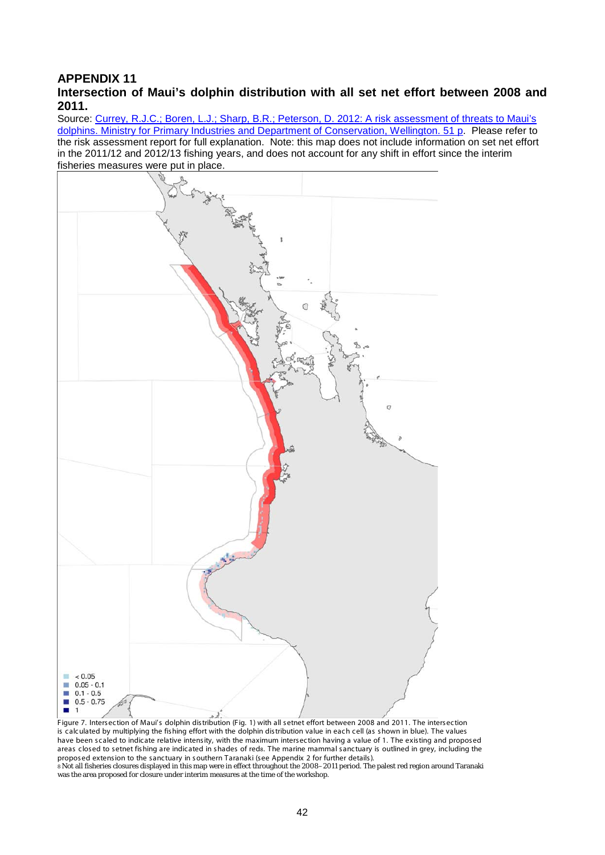#### **APPENDIX 11 Intersection of Maui's dolphin distribution with all set net effort between 2008 and 2011.**

Source: [Currey, R.J.C.; Boren, L.J.; Sharp, B.R.; Peterson, D. 2012: A risk assessment of threats to Maui's](http://www.doc.govt.nz/Documents/conservation/native-animals/marine-mammals/maui-tmp/mauis-dolphin-risk-assessment.pdf)  [dolphins. Ministry for Primary Industries and Department of Conservation, Wellington. 51 p.](http://www.doc.govt.nz/Documents/conservation/native-animals/marine-mammals/maui-tmp/mauis-dolphin-risk-assessment.pdf) Please refer to the risk assessment report for full explanation. Note: this map does not include information on set net effort in the 2011/12 and 2012/13 fishing years, and does not account for any shift in effort since the interim fisheries measures were put in place.



Figure 7. Intersection of Maui's dolphin distribution (Fig. 1) with all setnet effort between 2008 and 2011. The intersection is calculated by multiplying the fis hing effort with the dolphin distribution value in each cell (as s hown in blue). The values have been scaled to indicate relative intensity, with the maximum intersection having a value of 1. The existing and proposed areas closed to setnet fishing are indicated in shades of reds. The marine mammal sanctuary is outlined in grey, including the proposed extension to the sanctuary in southern Taranaki (see Appendix 2 for further details). 8 Not all fisheries closures displayed in this map were in effect throughout the 2008–2011 period. The palest red region around Taranaki was the area proposed for closure under interim measures at the time of the workshop.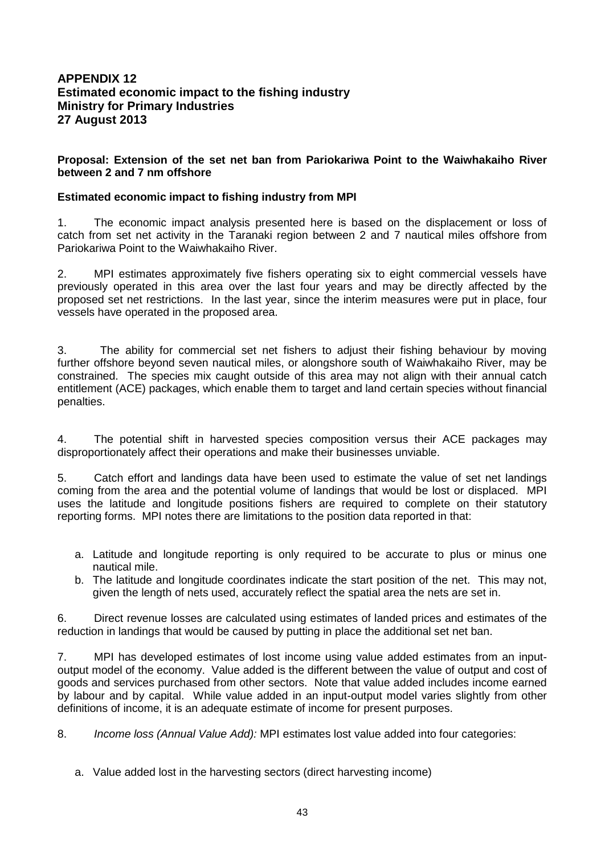#### **APPENDIX 12 Estimated economic impact to the fishing industry Ministry for Primary Industries 27 August 2013**

#### **Proposal: Extension of the set net ban from Pariokariwa Point to the Waiwhakaiho River between 2 and 7 nm offshore**

#### **Estimated economic impact to fishing industry from MPI**

1. The economic impact analysis presented here is based on the displacement or loss of catch from set net activity in the Taranaki region between 2 and 7 nautical miles offshore from Pariokariwa Point to the Waiwhakaiho River.

2. MPI estimates approximately five fishers operating six to eight commercial vessels have previously operated in this area over the last four years and may be directly affected by the proposed set net restrictions. In the last year, since the interim measures were put in place, four vessels have operated in the proposed area.

3. The ability for commercial set net fishers to adjust their fishing behaviour by moving further offshore beyond seven nautical miles, or alongshore south of Waiwhakaiho River, may be constrained. The species mix caught outside of this area may not align with their annual catch entitlement (ACE) packages, which enable them to target and land certain species without financial penalties.

4. The potential shift in harvested species composition versus their ACE packages may disproportionately affect their operations and make their businesses unviable.

5. Catch effort and landings data have been used to estimate the value of set net landings coming from the area and the potential volume of landings that would be lost or displaced. MPI uses the latitude and longitude positions fishers are required to complete on their statutory reporting forms. MPI notes there are limitations to the position data reported in that:

- a. Latitude and longitude reporting is only required to be accurate to plus or minus one nautical mile.
- b. The latitude and longitude coordinates indicate the start position of the net. This may not, given the length of nets used, accurately reflect the spatial area the nets are set in.

6. Direct revenue losses are calculated using estimates of landed prices and estimates of the reduction in landings that would be caused by putting in place the additional set net ban.

7. MPI has developed estimates of lost income using value added estimates from an inputoutput model of the economy. Value added is the different between the value of output and cost of goods and services purchased from other sectors. Note that value added includes income earned by labour and by capital. While value added in an input-output model varies slightly from other definitions of income, it is an adequate estimate of income for present purposes.

8. *Income loss (Annual Value Add):* MPI estimates lost value added into four categories:

a. Value added lost in the harvesting sectors (direct harvesting income)